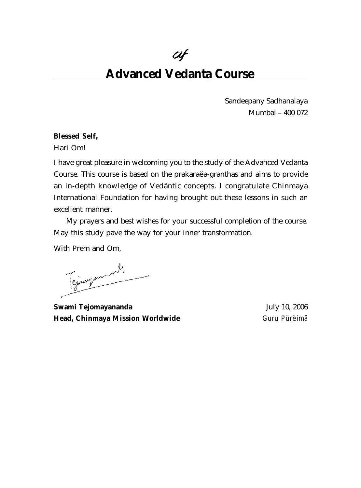# $Cif$

# **Advanced Vedanta Course**

Sandeepany Sadhanalaya Mumbai – 400 072

### **Blessed Self,**

Hari Om!

I have great pleasure in welcoming you to the study of the Advanced Vedanta Course. This course is based on the prakaraëa-granthas and aims to provide an in-depth knowledge of Vedäntic concepts. I congratulate Chinmaya International Foundation for having brought out these lessons in such an excellent manner.

My prayers and best wishes for your successful completion of the course. May this study pave the way for your inner transformation.

With Prem and Om,

Tejnyament

**Swami Tejomayananda** July 10, 2006 **Head, Chinmaya Mission Worldwide** *Guru Pürëimä*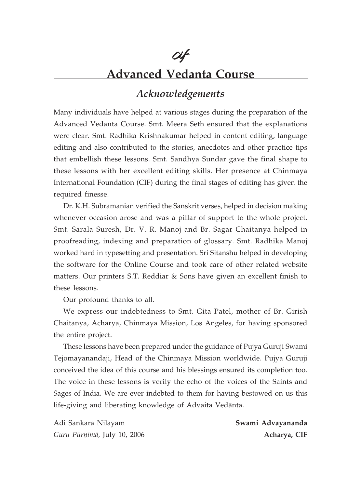# cif **Advanced Vedanta Course**

# Acknowledgements

Many individuals have helped at various stages during the preparation of the Advanced Vedanta Course. Smt. Meera Seth ensured that the explanations were clear. Smt. Radhika Krishnakumar helped in content editing, language editing and also contributed to the stories, anecdotes and other practice tips that embellish these lessons. Smt. Sandhya Sundar gave the final shape to these lessons with her excellent editing skills. Her presence at Chinmaya International Foundation (CIF) during the final stages of editing has given the required finesse.

Dr. K.H. Subramanian verified the Sanskrit verses, helped in decision making whenever occasion arose and was a pillar of support to the whole project. Smt. Sarala Suresh, Dr. V. R. Manoj and Br. Sagar Chaitanya helped in proofreading, indexing and preparation of glossary. Smt. Radhika Manoj worked hard in typesetting and presentation. Sri Sitanshu helped in developing the software for the Online Course and took care of other related website matters. Our printers S.T. Reddiar & Sons have given an excellent finish to these lessons.

Our profound thanks to all.

We express our indebtedness to Smt. Gita Patel, mother of Br. Girish Chaitanya, Acharya, Chinmaya Mission, Los Angeles, for having sponsored the entire project.

These lessons have been prepared under the guidance of Pujya Guruji Swami Tejomayanandaji, Head of the Chinmaya Mission worldwide. Pujya Guruji conceived the idea of this course and his blessings ensured its completion too. The voice in these lessons is verily the echo of the voices of the Saints and Sages of India. We are ever indebted to them for having bestowed on us this life-giving and liberating knowledge of Advaita Vedānta.

Adi Sankara Nilayam Guru Pūrņimā, July 10, 2006 Swami Advayananda Acharya, CIF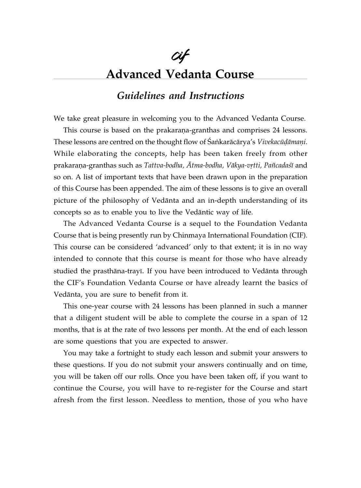# Cif Advanced Vedanta Course

# Guidelines and Instructions

We take great pleasure in welcoming you to the Advanced Vedanta Course.

This course is based on the prakaraṇa-granthas and comprises 24 lessons. These lessons are centred on the thought flow of Śaṅkarācārya's Vivekacūḍāmaṇi. While elaborating the concepts, help has been taken freely from other prakarana-granthas such as Tattva-bodha, Ātma-bodha, Vākya-vrtti, Pañcadaśī and so on. A list of important texts that have been drawn upon in the preparation of this Course has been appended. The aim of these lessons is to give an overall picture of the philosophy of Vedänta and an in-depth understanding of its concepts so as to enable you to live the Vedäntic way of life.

The Advanced Vedanta Course is a sequel to the Foundation Vedanta Course that is being presently run by Chinmaya International Foundation (CIF). This course can be considered 'advanced' only to that extent; it is in no way intended to connote that this course is meant for those who have already studied the prasthāna-trayī. If you have been introduced to Vedānta through the CIF's Foundation Vedanta Course or have already learnt the basics of Vedänta, you are sure to benefit from it.

This one-year course with 24 lessons has been planned in such a manner that a diligent student will be able to complete the course in a span of 12 months, that is at the rate of two lessons per month. At the end of each lesson are some questions that you are expected to answer.

You may take a fortnight to study each lesson and submit your answers to these questions. If you do not submit your answers continually and on time, you will be taken off our rolls. Once you have been taken off, if you want to continue the Course, you will have to re-register for the Course and start afresh from the first lesson. Needless to mention, those of you who have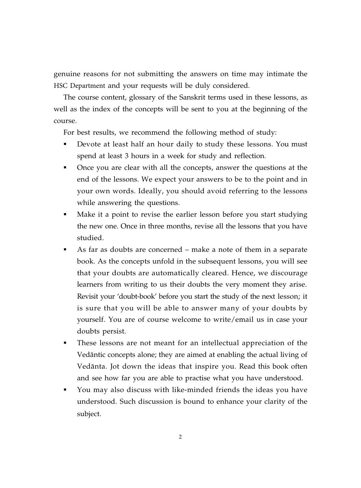genuine reasons for not submitting the answers on time may intimate the HSC Department and your requests will be duly considered.

The course content, glossary of the Sanskrit terms used in these lessons, as well as the index of the concepts will be sent to you at the beginning of the course.

For best results, we recommend the following method of study:

- Devote at least half an hour daily to study these lessons. You must spend at least 3 hours in a week for study and reflection.
- Once you are clear with all the concepts, answer the questions at the end of the lessons. We expect your answers to be to the point and in your own words. Ideally, you should avoid referring to the lessons while answering the questions.
- Make it a point to revise the earlier lesson before you start studying the new one. Once in three months, revise all the lessons that you have studied.
- As far as doubts are concerned make a note of them in a separate book. As the concepts unfold in the subsequent lessons, you will see that your doubts are automatically cleared. Hence, we discourage learners from writing to us their doubts the very moment they arise. Revisit your 'doubt-book' before you start the study of the next lesson; it is sure that you will be able to answer many of your doubts by yourself. You are of course welcome to write/email us in case your doubts persist.
- These lessons are not meant for an intellectual appreciation of the Vedäntic concepts alone; they are aimed at enabling the actual living of Vedänta. Jot down the ideas that inspire you. Read this book often and see how far you are able to practise what you have understood.
- You may also discuss with like-minded friends the ideas you have understood. Such discussion is bound to enhance your clarity of the subject.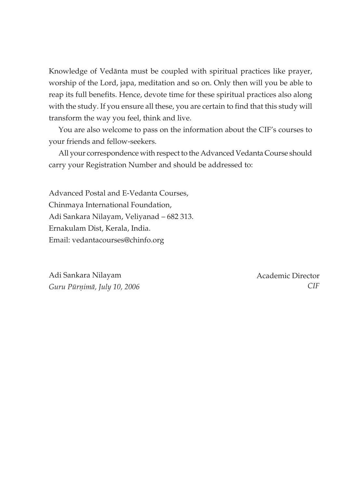Knowledge of Vedānta must be coupled with spiritual practices like prayer, worship of the Lord, japa, meditation and so on. Only then will you be able to reap its full benefits. Hence, devote time for these spiritual practices also along with the study. If you ensure all these, you are certain to find that this study will transform the way you feel, think and live.

You are also welcome to pass on the information about the CIF's courses to your friends and fellow-seekers.

All your correspondence with respect to the Advanced Vedanta Course should carry your Registration Number and should be addressed to:

Advanced Postal and E-Vedanta Courses, Chinmaya International Foundation, Adi Sankara Nilayam, Veliyanad – 682 313. Ernakulam Dist, Kerala, India. Email: vedantacourses@chinfo.org

Adi Sankara Nilayam *Guru Pūrṇimā, July 10, 2006*  Academic Director  *CIF*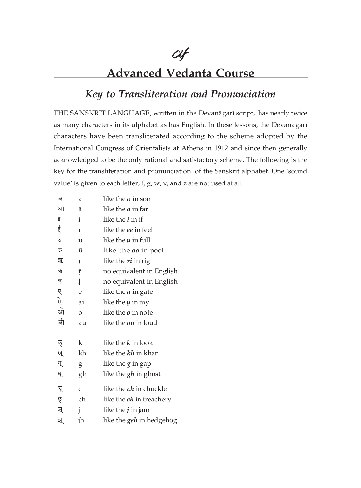# **Advanced Vedanta Course**

cif

## Key to Transliteration and Pronunciation

THE SANSKRIT LANGUAGE, written in the Devanāgarī script, has nearly twice as many characters in its alphabet as has English. In these lessons, the Devanāgarī characters have been transliterated according to the scheme adopted by the International Congress of Orientalists at Athens in 1912 and since then generally acknowledged to be the only rational and satisfactory scheme. The following is the key for the transliteration and pronunciation of the Sanskrit alphabet. One 'sound value' is given to each letter; f, g, w, x, and z are not used at all.

| अ  | a              | like the <i>o</i> in son        |
|----|----------------|---------------------------------|
| आ  | ā              | like the <i>a</i> in far        |
| इ  | i              | like the <i>i</i> in if         |
| ई  | ī              | like the ee in feel             |
| उ  | u              | like the $u$ in full            |
| ऊ  | ū              | like the <i>oo</i> in pool      |
| ऋ  | ŗ              | like the ri in rig              |
| ऋ  | ŗ              | no equivalent in English        |
| ऌ  | ļ              | no equivalent in English        |
| ए  | e              | like the <i>a</i> in gate       |
| ऐ  | ai             | like the $y$ in my              |
| ओे | $\overline{O}$ | like the <i>o</i> in note       |
| ओे | au             | like the <i>ou</i> in loud      |
|    |                |                                 |
| क् | k              | like the k in look              |
| ख् | kh             | like the kh in khan             |
| ग् | g              | like the <i>g</i> in gap        |
| घ् | gh             | like the <i>gh</i> in ghost     |
| च् | $\mathsf{C}$   | like the <i>ch</i> in chuckle   |
| छ् | ch             | like the <i>ch</i> in treachery |
| ज् | j              | like the $j$ in jam             |
| झ् | jh             | like the <i>geh</i> in hedgehog |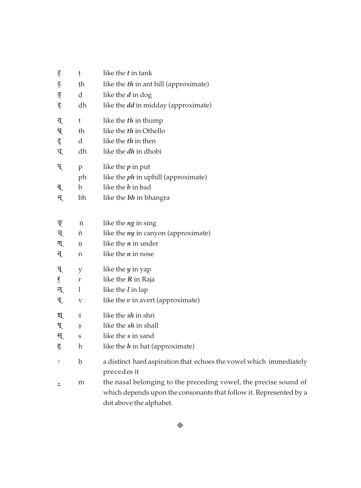| र्             | ţ  | like the <i>t</i> in tank                                                                                                                                         |
|----------------|----|-------------------------------------------------------------------------------------------------------------------------------------------------------------------|
| ठ्             | ţh | like the th in ant hill (approximate)                                                                                                                             |
| ड्             | d  | like the <i>d</i> in dog                                                                                                                                          |
| ढ्             | dh | like the <i>dd</i> in midday (approximate)                                                                                                                        |
| त्             | t  | like the th in thump                                                                                                                                              |
| थ्             | th | like the th in Othello                                                                                                                                            |
| दू             | d  | like the th in then                                                                                                                                               |
| ध्             | dh | like the <i>dh</i> in dhobi                                                                                                                                       |
| प्             | p  | like the $p$ in put                                                                                                                                               |
|                | ph | like the ph in uphill (approximate)                                                                                                                               |
| ब्             | b  | like the <i>b</i> in bad                                                                                                                                          |
| भ्             | bh | like the <b>bh</b> in bhangra                                                                                                                                     |
| ङ्             | 'n | like the ng in sing                                                                                                                                               |
| ञ्             | ñ  | like the <i>ny</i> in canyon (approximate)                                                                                                                        |
| ण्             | ņ  | like the $n$ in under                                                                                                                                             |
| न्             | n  | like the $n$ in nose                                                                                                                                              |
| यू             | у  | like the $y$ in yap                                                                                                                                               |
| र्             | r  | like the $R$ in Raja                                                                                                                                              |
| ऌ्             | 1  | like the $l$ in lap                                                                                                                                               |
| व्             | V  | like the $v$ in avert (approximate)                                                                                                                               |
| য্             | ś  | like the sh in shri                                                                                                                                               |
| ष्             | Ş  | like the sh in shall                                                                                                                                              |
| स्             | S  | like the s in sand                                                                                                                                                |
| ह्             | h  | like the $h$ in hat (approximate)                                                                                                                                 |
| $\ddot{\cdot}$ | ķ  | a distinct hard aspiration that echoes the vowel which immediately<br>precedes it                                                                                 |
| ≛              | m  | the nasal belonging to the preceding vowel, the precise sound of<br>which depends upon the consonants that follow it. Represented by a<br>dot above the alphabet. |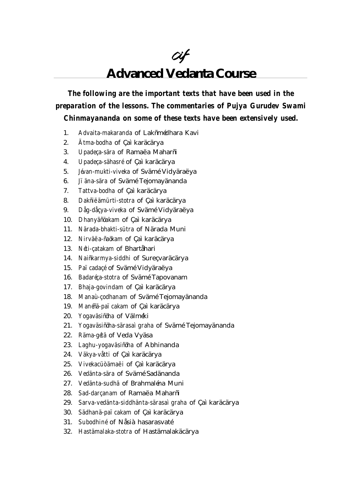# cif **Advanced Vedanta Course**

*The following are the important texts that have been used in the preparation of the lessons. The commentaries of Pujya Gurudev Swami Chinmayananda on some of these texts have been extensively used.*

- 1. *Advaita-makaranda* of Lakñmédhara Kavi
- 2. *Ätma-bodha* of Çaìkaräcärya
- 3. *Upadeça-sära* of Ramaëa Maharñi
- 4. *Upadeça-sähasré* of Çaì karäcärya
- 5. *Jévan-mukti-viveka* of Svämé Vidyäraëya
- 6. *Jïäna-sära* of Svämé Tejomayänanda
- 7. *Tattva-bodha* of Çaìkaräcärya
- 8. *Dakñiëämürti-stotra* of Çaì karäcärya
- 9. *Dåg-dåçya-viveka* of Svämé Vidyäraëya
- 10. *Dhanyäñöakam* of Çaì karäcärya
- 11. *Närada-bhakti-sütra* of Närada Muni
- 12. *Nirväëa-ñaökam* of Çaì karäcärya
- 13. *Néti-çatakam* of Bhartåhari
- 14. *Naiñkarmya-siddhi* of Sureçvaräcärya
- 15. *Païcadaçé* of Svämé Vidyäraëya
- 16. *Badaréça-stotra* of Svämé Tapovanam
- 17. *Bhaja-govindam* of Çaìkaräcärya
- 18. *Manaù-çodhanam* of Svämé Tejomayänanda
- 19. *Manéñä-païcakam* of Çaìkaräcärya
- 20. *Yogaväsiñöha* of Välméki
- 21. *Yogaväsiñöha-särasaìgraha* of Svämé Tejomayänanda
- 22. *Räma-gétä* of Veda Vyäsa
- 23. *Laghu-yogaväsiñöha* of Abhinanda
- 24. *Väkya-våtti* of Çaìkaräcärya
- 25. *Vivekacüòämaëi* of Çaìkaräcärya
- 26. *Vedänta-sära* of Svämé Sadänanda
- 27. *Vedänta-sudhä* of Brahmaléna Muni
- 28. *Sad-darçanam* of Ramaëa Maharñi
- 29. *Sarva-vedänta-siddhänta-särasaìgraha* of Çaìkaräcärya
- 30. *Sädhanä-païcakam* of Çaìkaräcärya
- 31. *Subodhiné* of Nåsiàhasarasvaté
- 32. *Hastämalaka-stotra* of Hastämalakäcärya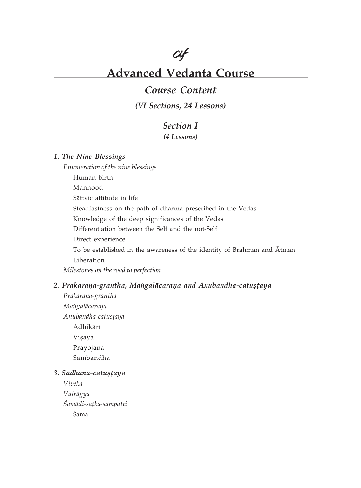

# **Advanced Vedanta Course**

## **Course Content**

(VI Sections, 24 Lessons)

### **Section I**

(4 Lessons)

### 1. The Nine Blessings

Enumeration of the nine blessings Human birth Manhood

Sāttvic attitude in life

Steadfastness on the path of dharma prescribed in the Vedas

Knowledge of the deep significances of the Vedas

Differentiation between the Self and the not-Self

Direct experience

To be established in the awareness of the identity of Brahman and Atman Liberation

Milestones on the road to perfection

### 2. Prakaraņa-grantha, Mangalācaraņa and Anubandha-catustaya

Prakarana-grantha Mangalācaraņa Anubandha-catustaya Adhikārī Vişaya Prayojana Sambandha

### 3. Sādhana-catustaya

Viveka Vairāgya Śamādi-șațka-sampatti Śama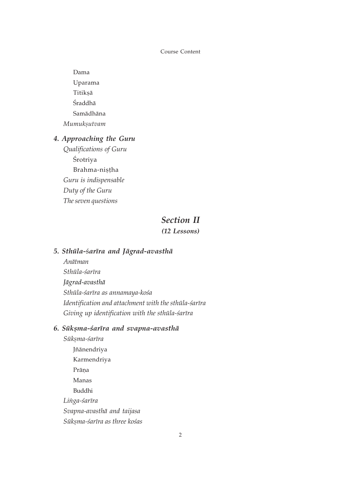Dama Uparama Titiksā Śraddhā Samādhāna Mumuksutvam

### 4. Approaching the Guru

Qualifications of Guru Śrotriya Brahma-nistha Guru is indispensable Duty of the Guru The seven questions

### **Section II**

### (12 Lessons)

### 5. Sthūla-śarīra and Jāgrad-avasthā

Anātman Sthūla-śarīra Jāgrad-avasthā Sthūla-śarīra as annamaya-kośa Identification and attachment with the sthūla-śarīra Giving up identification with the sthula-sarīra

### 6. Sūkșma-śarīra and svapna-avasthā

Sūkșma-śarīra Jñānendriya Karmendriya Prāņa Manas Buddhi Linga-śarīra Svapna-avasthā and taijasa Sūkṣma-śarīra as three kośas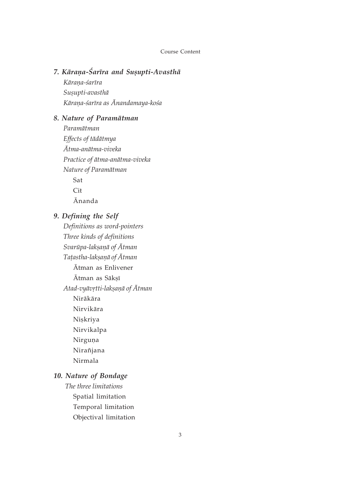### 7. Kāraņa-Śarīra and Sușupti-Avasthā

Kārana-śarīra Susupti-avasthā Kāraņa-śarīra as Ānandamaya-kośa

### 8. Nature of Paramātman

Paramātman Effects of tādātmya Ātma-anātma-viveka Practice of ātma-anātma-viveka Nature of Paramātman Sat  $Cit$ Ānanda

### 9. Defining the Self

Definitions as word-pointers Three kinds of definitions Svarūpa-lakṣaṇā of Ātman Taṭastha-lakṣaṇā of Ātman Ātman as Enlivener Ātman as Sākṣī Atad-vyāvrtti-lakṣaṇā of Ātman Nirākāra Nirvikāra Niskriya Nirvikalpa Nirguņa Nirañjana Nirmala

### 10. Nature of Bondage

The three limitations Spatial limitation Temporal limitation Objectival limitation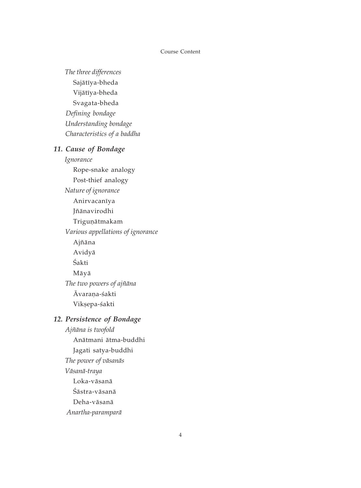The three differences Sajātīya-bheda Vijātīya-bheda Svagata-bheda Defining bondage Understanding bondage Characteristics of a baddha 11. Cause of Bondage

> Ignorance Rope-snake analogy Post-thief analogy Nature of ignorance Anirvacanīya Jñānavirodhi Trigunātmakam Various appellations of ignorance Ajñāna Avidyā Śakti Māyā The two powers of ajñāna Āvarana-śakti Vikșepa-śakti

### 12. Persistence of Bondage

Ajñāna is twofold Anātmani ātma-buddhi Jagati satya-buddhi The power of vāsanās Vāsanā-traya Loka-vāsanā Śāstra-vāsanā Deha-vāsanā Anartha-paramparā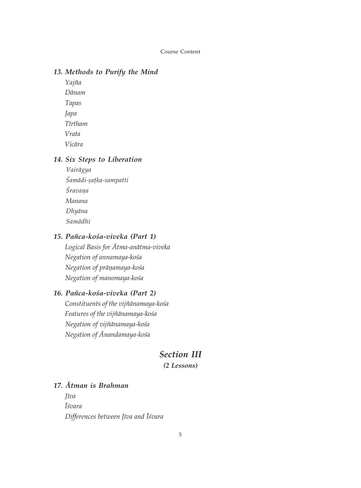### 13. Methods to Purify the Mind

Yajña Dānam Tapas Japa **T**īrtham Vrata Vicāra

### 14. Six Steps to Liberation

Vairāgya Śamādi-satka-sampatti Śravana Manana Dhyāna Samādhi

### 15. Pañca-kośa-viveka (Part 1)

Logical Basis for Ātma-anātma-viveka Negation of annamaya-kośa Negation of prāņamaya-kośa Negation of manomaya-kośa

### 16. Pañca-kośa-viveka (Part 2)

Constituents of the vijñānamaya-kośa Features of the vijñānamaya-kośa Negation of vijñānamaya-kośa Negation of Anandamaya-kośa

### **Section III**

 $(2$  Lessons)

### 17. Atman is Brahman

**I**īva **I**śvara Differences between Jīva and Iśvara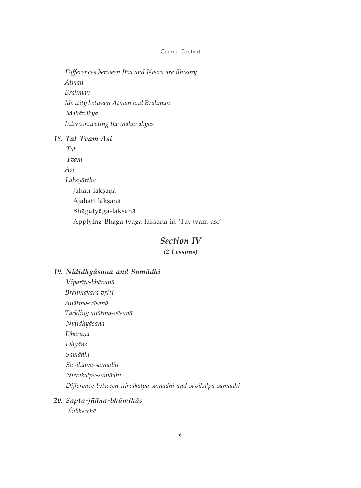Differences between Jīva and Īśvara are illusory  $\bar{A}$ tman **Brahman** Identity between Atman and Brahman Mahāvākya Interconnecting the mahāvākyas

### 18. Tat Tvam Asi

 $Taf$ Tvam  $Asi$ Laksyārtha Jahatī laksaņā Ajahatī laksaņā Bhāgatyāga-laksanā Applying Bhāga-tyāga-lakṣaṇā in 'Tat tvam asi'

### **Section IV**

(2 Lessons)

### 19. Nididhyāsana and Samādhi

- Viparīta-bhāvanā Brahmākāra-vrtti Anātma-vāsanā Tackling anātma-vāsanā Nididhyāsana Dhāraņā Dhyāna Samādhi Savikalpa-samādhi Nirvikalpa-samādhi Difference between nirvikalpa-samādhi and savikalpa-samādhi
- 20. Sapta-jñāna-bhūmikās

*Śubhecchā*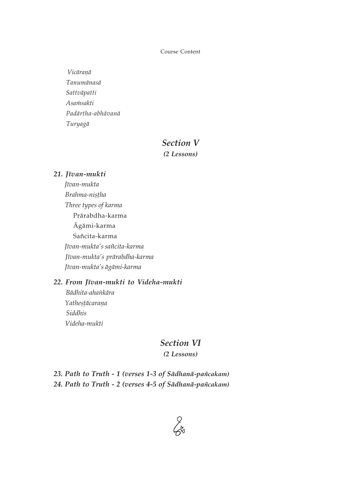Vicāranā Tanumānasā Sattvāpatti Asamsakti Padārtha-abhāvanā Turyagā

### **Section V**

 $(2$  Lessons)

### 21. Jīvan-mukti

Jīvan-mukta Brahma-nișțha Three types of karma Prārabdha-karma Āgāmi-karma Sañcita-karma Jīvan-mukta's sañcita-karma Jīvan-mukta's prārabdha-karma Jīvan-mukta's āgāmi-karma

### 22. From Jīvan-mukti to Videha-mukti

Bādhita-ahankāra Yatheșțācaraņa Siddhis Videha-mukti

### **Section VI**

 $(2$  Lessons)

23. Path to Truth - 1 (verses 1-3 of Sādhanā-pañcakam) 24. Path to Truth - 2 (verses 4-5 of Sādhanā-pañcakam)

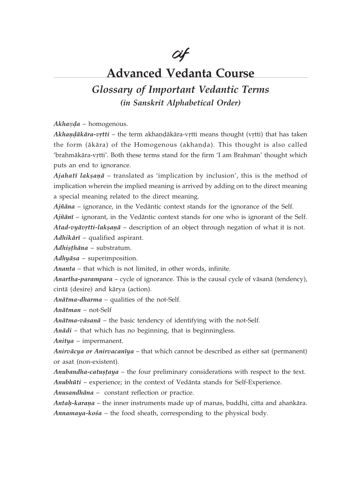cif

# **Advanced Vedanta Course**

# **Glossary of Important Vedantic Terms** (in Sanskrit Alphabetical Order)

Akhanda - homogenous.

Akhandākāra-vrtti - the term akhandākāra-vrtti means thought (vrtti) that has taken the form (ākāra) of the Homogenous (akhanda). This thought is also called 'brahmākāra-vṛtti'. Both these terms stand for the firm 'I am Brahman' thought which puts an end to ignorance.

 $A<sub>j</sub>ahatī lakșanā - translated as 'implication by inclusion', this is the method of$ implication wherein the implied meaning is arrived by adding on to the direct meaning a special meaning related to the direct meaning.

 $Aj\tilde{n}$  and  $\tilde{n}$  - ignorance, in the Vedantic context stands for the ignorance of the Self.

 $Aj\tilde{n}\bar{a}n\bar{i}$  – ignorant, in the Vedantic context stands for one who is ignorant of the Self.

Atad-vyāvrtti-laksanā – description of an object through negation of what it is not.  $Adhik\bar{a}r\bar{i}$  – qualified aspirant.

Adhisthāna - substratum.

 $Adh\psi$ āsa – superimposition.

Ananta – that which is not limited, in other words, infinite.

Anartha-parampara – cycle of ignorance. This is the causal cycle of vāsanā (tendency), cintā (desire) and kārya (action).

Anātma-dharma - qualities of the not-Self.

 $An\bar{a}tman$  – not-Self

 $An\bar{a}t$ ma-vāsanā – the basic tendency of identifying with the not-Self.

 $Anādi$  – that which has no beginning, that is beginningless.

 $Anitya$  – impermanent.

Anirvācya or Anirvacanīya – that which cannot be described as either sat (permanent) or asat (non-existent).

Anubandha-catustaya – the four preliminary considerations with respect to the text. Anubhūti – experience; in the context of Vedānta stands for Self-Experience.

Anusandhāna - constant reflection or practice.

Antah-karana - the inner instruments made up of manas, buddhi, citta and ahankāra. Annamaya-kośa – the food sheath, corresponding to the physical body.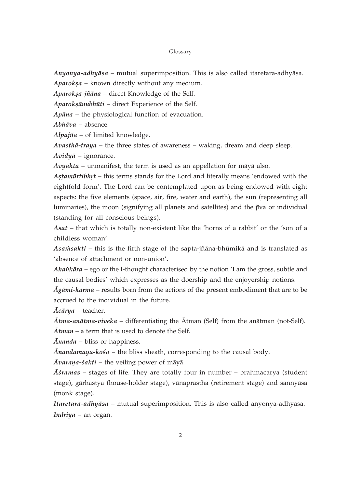Anyonya-adhyāsa – mutual superimposition. This is also called itaretara-adhyāsa.

Aparoksa - known directly without any medium.

Aparokșa-jñāna - direct Knowledge of the Self.

Aparoksānubhūti - direct Experience of the Self.

 $Apāna$  – the physiological function of evacuation.

 $Abh\bar{a}va$  – absence.

Alpajña – of limited knowledge.

Avasthā-traya - the three states of awareness - waking, dream and deep sleep.  $Avidy\bar{a}$  – ignorance.

Avyakta – unmanifest, the term is used as an appellation for māyā also.

Astamūrtibhrt - this terms stands for the Lord and literally means 'endowed with the eightfold form'. The Lord can be contemplated upon as being endowed with eight aspects: the five elements (space, air, fire, water and earth), the sun (representing all luminaries), the moon (signifying all planets and satellites) and the jīva or individual (standing for all conscious beings).

Asat – that which is totally non-existent like the 'horns of a rabbit' or the 'son of a childless woman'.

Asam sakti – this is the fifth stage of the sapta-jñāna-bhūmikā and is translated as 'absence of attachment or non-union'.

 $A$ *hankāra* – ego or the I-thought characterised by the notion  $T$  am the gross, subtle and the causal bodies' which expresses as the doership and the enjoyership notions.

 $\bar{Agami}$ -karma – results born from the actions of the present embodiment that are to be accrued to the individual in the future.

 $\bar{A}c\bar{a}rya$  – teacher.

Ātma-anātma-viveka - differentiating the Ātman (Self) from the anātman (not-Self).

Atman - a term that is used to denote the Self.

 $\bar{A}$ *nanda* – bliss or happiness.

 $\bar{A}$ nandamaya-kośa – the bliss sheath, corresponding to the causal body.

 $\bar{A}v$ araņa-śakti – the veiling power of māyā.

 $\overline{A}$ *sramas* – stages of life. They are totally four in number – brahmacarya (student stage), gārhastya (house-holder stage), vānaprastha (retirement stage) and sannyāsa (monk stage).

Itaretara-adhyāsa - mutual superimposition. This is also called anyonya-adhyāsa. Indriya - an organ.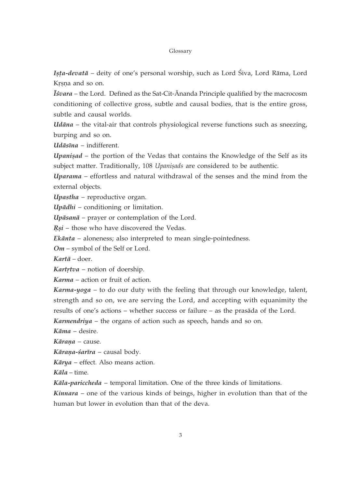Ișța-devată – deity of one's personal worship, such as Lord Śiva, Lord Rāma, Lord Krsna and so on.

Isvara – the Lord. Defined as the Sat-Cit-Ananda Principle qualified by the macrocosm conditioning of collective gross, subtle and causal bodies, that is the entire gross, subtle and causal worlds.

*Udāna* – the vital-air that controls physiological reverse functions such as sneezing, burping and so on.

 $Ud\bar{a}s\bar{a}na - indifferent.$ 

*Upanisad* – the portion of the Vedas that contains the Knowledge of the Self as its subject matter. Traditionally, 108 Upanisads are considered to be authentic.

Uparama – effortless and natural withdrawal of the senses and the mind from the external objects.

Upastha - reproductive organ.

 $Upādhi$  – conditioning or limitation.

Upāsanā - prayer or contemplation of the Lord.

Rsi - those who have discovered the Vedas.

Ekānta - aloneness; also interpreted to mean single-pointedness.

 $Om$  – symbol of the Self or Lord.

 $Kart\bar{a}$  – doer.

Kartrtva – notion of doership.

Karma – action or fruit of action.

Karma-yoga - to do our duty with the feeling that through our knowledge, talent, strength and so on, we are serving the Lord, and accepting with equanimity the results of one's actions – whether success or failure – as the prasāda of the Lord.

Karmendriya - the organs of action such as speech, hands and so on.

Kāma - desire.

Kāraņa - cause.

Kāraņa-śarīra - causal body.

 $Kārya$  – effect. Also means action.

 $K\bar{a}la$  – time.

Kāla-pariccheda - temporal limitation. One of the three kinds of limitations.

Kinnara – one of the various kinds of beings, higher in evolution than that of the human but lower in evolution than that of the deva.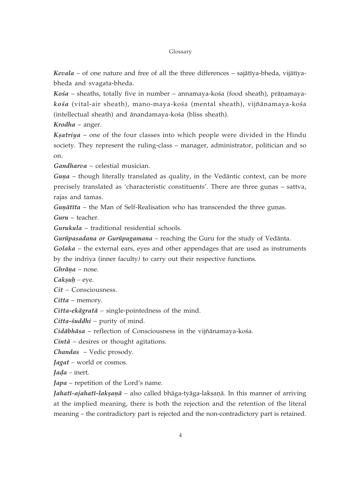Kevala – of one nature and free of all the three differences – sajātīya-bheda, vijātīyabheda and svagata-bheda.

Kośa – sheaths, totally five in number – annamaya-kośa (food sheath), prāņamayakośa (vital-air sheath), mano-maya-kośa (mental sheath), vijñānamaya-kośa (intellectual sheath) and ānandamaya-kośa (bliss sheath).

Krodha – anger.

 $K<sub>5</sub>atrix a - one of the four classes into which people were divided in the Hindu$ society. They represent the ruling-class – manager, administrator, politician and so on.

Gandharva - celestial musician.

*Guna* – though literally translated as quality, in the Vedantic context, can be more precisely translated as 'characteristic constituents'. There are three gunas - sattva, rajas and tamas.

Gunātīta - the Man of Self-Realisation who has transcended the three gunas.

 $Guru - teacher.$ 

Gurukula - traditional residential schools.

Gurūpasadana or Gurūpagamana – reaching the Guru for the study of Vedānta.

Golaka – the external ears, eyes and other appendages that are used as instruments by the indriya (inner faculty) to carry out their respective functions.

 $Ghrāna$  – nose.

 $Caksuh$  – eye.

 $Cit$  – Consciousness.

*Citta –* memory.

*Citta-ekāgratā - single-pointedness of the mind.* 

Citta-śuddhi - purity of mind.

Cidābhāsa – reflection of Consciousness in the vijñānamaya-kośa.

 $Cint\bar{a}$  – desires or thought agitations.

*Chandas* – Vedic prosody.

 $Jagat$  – world or cosmos.

 $Iada$  – inert.

*Japa* – repetition of the Lord's name.

Jahatī-ajahatī-lakṣaṇā - also called bhāga-tyāga-lakṣaṇā. In this manner of arriving at the implied meaning, there is both the rejection and the retention of the literal meaning – the contradictory part is rejected and the non-contradictory part is retained.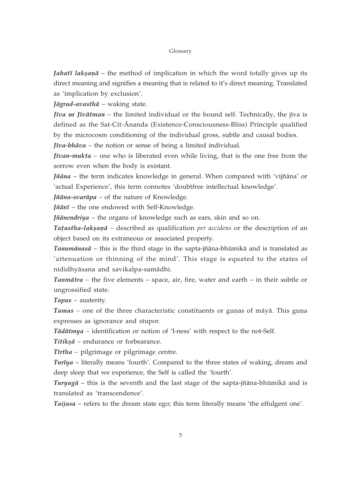*Jahati laksanā* – the method of implication in which the word totally gives up its direct meaning and signifies a meaning that is related to it's direct meaning. Translated as 'implication by exclusion'.

Jāgrad-avasthā - waking state.

*Jīva* or *Jīvātman* – the limited individual or the bound self. Technically, the jīva is defined as the Sat-Cit-Ananda (Existence-Consciousness-Bliss) Principle qualified by the microcosm conditioning of the individual gross, subtle and causal bodies.

 $J\bar{v}va$ -bh $\bar{a}va$  – the notion or sense of being a limited individual.

*Jīvan-mukta* – one who is liberated even while living, that is the one free from the sorrow even when the body is existant.

*Jñāna* – the term indicates knowledge in general. When compared with 'vijñāna' or 'actual Experience', this term connotes 'doubtfree intellectual knowledge'.

Jñāna-svarūpa - of the nature of Knowledge.

Jñānī - the one endowed with Self-Knowledge.

Jñānendriya - the organs of knowledge such as ears, skin and so on.

Tatastha-laksana - described as qualification per accidens or the description of an object based on its extraneous or associated property.

Tanumānasā - this is the third stage in the sapta-jñāna-bhūmikā and is translated as 'attenuation or thinning of the mind'. This stage is equated to the states of nididhyāsana and savikalpa-samādhi.

*Tanmātra* – the five elements – space, air, fire, water and earth – in their subtle or ungrossified state.

Tapas – austerity.

Tamas – one of the three characteristic constituents or gunas of māyā. This guna expresses as ignorance and stupor.

Tādātmya – identification or notion of 'I-ness' with respect to the not-Self.

Titiksā - endurance or forbearance.

Tirtha – pilgrimage or pilgrimage centre.

Turiya – literally means 'fourth'. Compared to the three states of waking, dream and deep sleep that we experience, the Self is called the 'fourth'.

 $Turya\overline{g}$  – this is the seventh and the last stage of the sapta-jñāna-bhūmikā and is translated as 'transcendence'.

Taijasa - refers to the dream state ego; this term literally means 'the effulgent one'.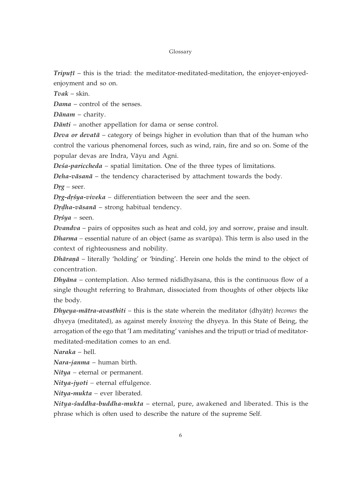$Triput\bar{i}$  – this is the triad: the meditator-meditated-meditation, the enjoyer-enjoyedenjoyment and so on.

 $Tvak - skin.$ 

Dama - control of the senses.

 $D\bar{a}nam$  - charity.

Dānti – another appellation for dama or sense control.

Deva or devatā - category of beings higher in evolution than that of the human who control the various phenomenal forces, such as wind, rain, fire and so on. Some of the popular devas are Indra, Vāyu and Agni.

Deśa-pariccheda – spatial limitation. One of the three types of limitations.

 $Deha-vāsanā$  – the tendency characterised by attachment towards the body.

 $Drg - seer.$ 

 $Drg$ - $dr$ sya- $viveka$  – differentiation between the seer and the seen.

 $D$ rdha-vāsanā - strong habitual tendency.

 $Dr\'{s}ya$  – seen.

*Dvandva* – pairs of opposites such as heat and cold, joy and sorrow, praise and insult. Dharma – essential nature of an object (same as svarūpa). This term is also used in the context of righteousness and nobility.

Dhāranā – literally 'holding' or 'binding'. Herein one holds the mind to the object of concentration.

Dhyāna – contemplation. Also termed nididhyāsana, this is the continuous flow of a single thought referring to Brahman, dissociated from thoughts of other objects like the body.

Dhyeya-mātra-avasthiti – this is the state wherein the meditator (dhyātr) becomes the dhyeya (meditated), as against merely knowing the dhyeya. In this State of Being, the arrogation of the ego that 'I am meditating' vanishes and the triputi or triad of meditatormeditated-meditation comes to an end.

 $Naraka - hell.$ 

Nara-janma - human birth.

 $Nitya$  – eternal or permanent.

Nitya-jyoti – eternal effulgence.

 $Nitya$ -mukta – ever liberated.

Nitya-śuddha-buddha-mukta - eternal, pure, awakened and liberated. This is the phrase which is often used to describe the nature of the supreme Self.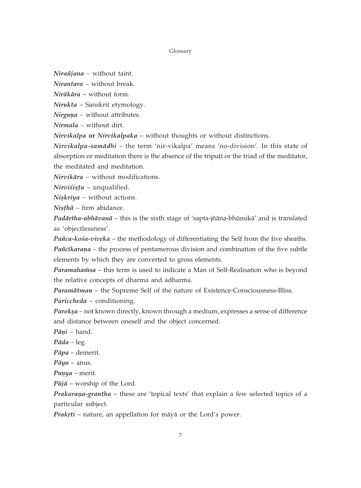$N$ *irañjana* – without taint.

Nirantara - without break.

 $Nirākāra - without form.$ 

Nirukta - Sanskrit etymology.

Nirguna - without attributes.

Nirmala - without dirt.

Nirvikalpa or Nirvikalpaka - without thoughts or without distinctions.

Nirvikalpa-samādhi - the term 'nir-vikalpa' means 'no-division'. In this state of absorption or meditation there is the absence of the triputi or the triad of the meditator, the meditated and meditation.

Nirvikāra - without modifications.

 $Nirvišișta$  – unqualified.

 $Niskriya$  – without actions.

 $Nisth\bar{a}$  – firm abidance.

Padārtha-abhāvanā - this is the sixth stage of 'sapta-jñāna-bhūmikā' and is translated as 'objectlessness'.

Pañca-kośa-viveka – the methodology of differentiating the Self from the five sheaths. Pañcikarana – the process of pentamerous division and combination of the five subtle elements by which they are converted to gross elements.

Paramahamsa - this term is used to indicate a Man of Self-Realisation who is beyond the relative concepts of dharma and adharma.

Paramātman – the Supreme Self of the nature of Existence-Consciousness-Bliss. Pariccheda - conditioning.

Paroksa - not known directly, known through a medium, expresses a sense of difference and distance between oneself and the object concerned.

 $P\bar{a}ni$  - hand.

 $P\bar{a}da - \text{leg.}$ 

 $Pāpa$  – demerit.

 $P\bar{a}$ *yu* – anus.

 $Punya - merit.$ 

 $P\bar{u}j\bar{a}$  – worship of the Lord.

Prakarana-grantha - these are 'topical texts' that explain a few selected topics of a particular subject.

Prakrti - nature, an appellation for māyā or the Lord's power.

 $\overline{7}$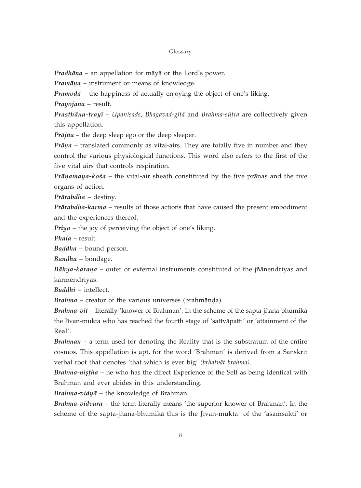*Pradhāna* – an appellation for māyā or the Lord's power.

Pramāņa - instrument or means of knowledge.

**Pramoda** – the happiness of actually enjoying the object of one's liking.

Prayojana - result.

Prasthāna-trayī - Upanișads, Bhagavad-gītā and Brahma-sūtra are collectively given this appellation.

 $Pr\bar{a}j\tilde{n}a$  – the deep sleep ego or the deep sleeper.

Prāņa - translated commonly as vital-airs. They are totally five in number and they control the various physiological functions. This word also refers to the first of the five vital airs that controls respiration.

 $Prānamaya-kośa - the vital-air sheath constituted by the five prānas and the five$ organs of action.

Prārabdha - destiny.

Prārabdha-karma – results of those actions that have caused the present embodiment and the experiences thereof.

Priya - the joy of perceiving the object of one's liking.

Phala - result.

Baddha - bound person.

Bandha - bondage.

Bāhya-karaņa – outer or external instruments constituted of the jñānendriyas and karmendriyas.

 $Buddhi$  – intellect.

**Brahma** – creator of the various universes (brahmanda).

Brahma-vit - literally 'knower of Brahman'. In the scheme of the sapta-jñāna-bhūmikā the Jīvan-mukta who has reached the fourth stage of 'sattvāpatti' or 'attainment of the Real'.

Brahman – a term used for denoting the Reality that is the substratum of the entire cosmos. This appellation is apt, for the word 'Brahman' is derived from a Sanskrit verbal root that denotes 'that which is ever big' (brhatvāt brahma).

Brahma-nistha - he who has the direct Experience of the Self as being identical with Brahman and ever abides in this understanding.

Brahma-vidy $\bar{a}$  – the knowledge of Brahman.

Brahma-vidvara - the term literally means 'the superior knower of Brahman'. In the scheme of the sapta-jñāna-bhūmikā this is the Jīvan-mukta of the 'asamsakti' or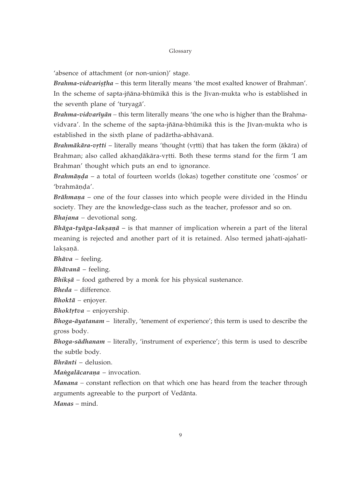'absence of attachment (or non-union)' stage.

Brahma-vidvaristha - this term literally means 'the most exalted knower of Brahman'. In the scheme of sapta-jñāna-bhūmikā this is the Jīvan-mukta who is established in the seventh plane of 'turyagā'.

*Brahma-vidvarīyān* – this term literally means 'the one who is higher than the Brahmavidvara'. In the scheme of the sapta-jñāna-bhūmikā this is the Jīvan-mukta who is established in the sixth plane of padārtha-abhāvanā.

Brahmākāra-vrtti - literally means 'thought (vrtti) that has taken the form (ākāra) of Brahman; also called akhandākāra-vṛtti. Both these terms stand for the firm 'I am Brahman' thought which puts an end to ignorance.

 $Brahmānda - a$  total of fourteen worlds (lokas) together constitute one 'cosmos' or 'brahmānda'.

Brāhmaņa - one of the four classes into which people were divided in the Hindu society. They are the knowledge-class such as the teacher, professor and so on.

*Bhajana* – devotional song.

Bhāga-tyāga-lakṣaṇā – is that manner of implication wherein a part of the literal meaning is rejected and another part of it is retained. Also termed jahatī-ajahatīlaksanā.

 $Bh\bar{a}va$  – feeling.

*Bhāvanā* – feeling.

**Bhiksā** – food gathered by a monk for his physical sustenance.

Bheda - difference.

*Bhoktā* – enjoyer.

 $Bhoktrtva$  – enjoyership.

Bhoga-āyatanam - literally, 'tenement of experience'; this term is used to describe the gross body.

Bhoga-sādhanam - literally, 'instrument of experience'; this term is used to describe the subtle body.

Bhrānti - delusion.

Mangalācaraņa - invocation.

Manana - constant reflection on that which one has heard from the teacher through arguments agreeable to the purport of Vedānta.

Manas – mind.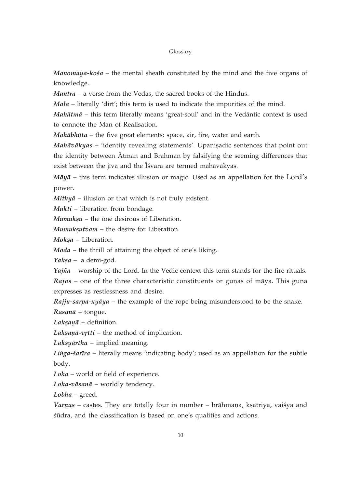*Manomaya-kośa* – the mental sheath constituted by the mind and the five organs of knowledge.

 $Mantra - a$  verse from the Vedas, the sacred books of the Hindus.

Mala – literally 'dirt'; this term is used to indicate the impurities of the mind.

 $Mah\bar{a}$  – this term literally means 'great-soul' and in the Vedantic context is used to connote the Man of Realisation.

Mahābhūta - the five great elements: space, air, fire, water and earth.

Mahāvākyas - 'identity revealing statements'. Upanisadic sentences that point out the identity between Atman and Brahman by falsifying the seeming differences that exist between the jīva and the Īśvara are termed mahāvākyas.

 $Māyā$  – this term indicates illusion or magic. Used as an appellation for the Lord's power.

 $Mithy\bar{a}$  – illusion or that which is not truly existent.

 $Mukti$  – liberation from bondage.

 $M$ *umuksu* – the one desirous of Liberation.

Mumuksutvam - the desire for Liberation.

Moksa - Liberation.

 $Moda$  – the thrill of attaining the object of one's liking.

 $Yaksa - a$  demi-god.

 $Ya\hat{j}\hat{n}a$  – worship of the Lord. In the Vedic context this term stands for the fire rituals.  $Rajas$  – one of the three characteristic constituents or gunas of maya. This guna expresses as restlessness and desire.

 $Rajju-sarpa-nyāya - the example of the rope being misundersfood to be the snake.$ Rasanā - tongue.

Laksanā - definition.

Laksanā-vrtti - the method of implication.

Laksy $\bar{a}$ rtha – implied meaning.

Linga-sarīra – literally means 'indicating body'; used as an appellation for the subtle body.

 $Loka$  – world or field of experience.

Loka-vāsanā - worldly tendency.

 $Lobha - \text{greed}.$ 

Varnas - castes. They are totally four in number - brāhmaṇa, kṣatriya, vaiśya and śūdra, and the classification is based on one's qualities and actions.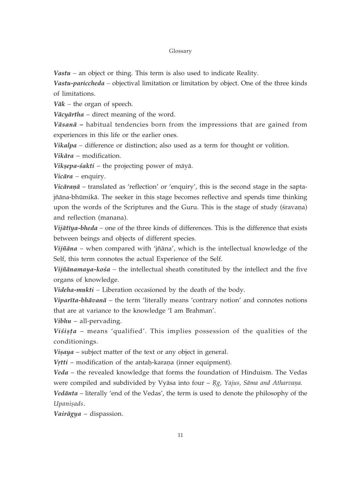*Vastu* – an object or thing. This term is also used to indicate Reality.

Vastu-pariccheda - objectival limitation or limitation by object. One of the three kinds of limitations.

 $V\bar{a}k$  – the organ of speech.

Vācyārtha - direct meaning of the word.

Vāsanā – habitual tendencies born from the impressions that are gained from experiences in this life or the earlier ones.

Vikalpa - difference or distinction; also used as a term for thought or volition.

Vikāra - modification.

Vikșepa-śakti - the projecting power of māyā.

Vicāra – enquiry.

Vicāranā – translated as 'reflection' or 'enquiry', this is the second stage in the saptajñāna-bhūmikā. The seeker in this stage becomes reflective and spends time thinking upon the words of the Scriptures and the Guru. This is the stage of study (śravaņa) and reflection (manana).

Vijātīya-bheda – one of the three kinds of differences. This is the difference that exists between beings and objects of different species.

Vijñāna - when compared with 'jñāna', which is the intellectual knowledge of the Self, this term connotes the actual Experience of the Self.

Vijñānamaya-kośa – the intellectual sheath constituted by the intellect and the five organs of knowledge.

Videha-mukti - Liberation occasioned by the death of the body.

Viparīta-bhāvanā - the term 'literally means 'contrary notion' and connotes notions that are at variance to the knowledge 'I am Brahman'.

 $Vibhu$  – all-pervading.

Visișța - means 'qualified'. This implies possession of the qualities of the conditionings.

Vișaya – subject matter of the text or any object in general.

Vrtti – modification of the antah-karana (inner equipment).

Veda - the revealed knowledge that forms the foundation of Hinduism. The Vedas were compiled and subdivided by Vyāsa into four  $-Rg$ , Yajus, Sāma and Atharvaņa.

Vedānta – literally 'end of the Vedas', the term is used to denote the philosophy of the Upanişads.

Vairāgya - dispassion.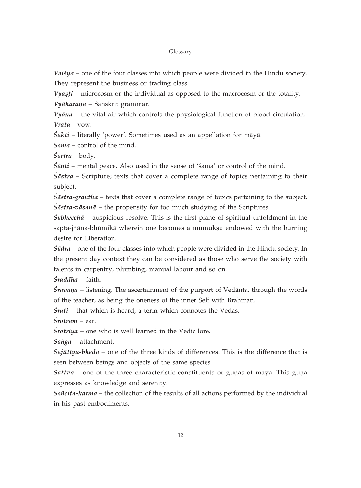Vaisya – one of the four classes into which people were divided in the Hindu society. They represent the business or trading class.

Vyasti – microcosm or the individual as opposed to the macrocosm or the totality. Vyākaraņa - Sanskrit grammar.

Vyāna - the vital-air which controls the physiological function of blood circulation.  $Vrata - vow.$ 

 $\hat{S}$ akti – literally 'power'. Sometimes used as an appellation for māyā.

 $\sin a$  – control of the mind.

 $\hat{S}a\vec{r}$ ra – body.

 $\delta$ *anti* – mental peace. Also used in the sense of 'sama' or control of the mind.

 $\hat{\theta}$  Sastra – Scripture; texts that cover a complete range of topics pertaining to their subject.

*Sastra-grantha* – texts that cover a complete range of topics pertaining to the subject.  $\hat{\theta}$  sastra-vasana – the propensity for too much studying of the Scriptures.

 $\hat{S}$ ubhecch $\bar{a}$  – auspicious resolve. This is the first plane of spiritual unfoldment in the sapta-jñāna-bhūmikā wherein one becomes a mumukṣu endowed with the burning desire for Liberation.

 $\hat{S}$ *udra* – one of the four classes into which people were divided in the Hindu society. In the present day context they can be considered as those who serve the society with talents in carpentry, plumbing, manual labour and so on.

 $\delta$ raddhā - faith.

*Śravana* – listening. The ascertainment of the purport of Vedānta, through the words of the teacher, as being the oneness of the inner Self with Brahman.

*Śruti* – that which is heard, a term which connotes the Vedas.

 $\acute{S}$ rotram – ear.

 $\frac{5}{1}$  *frotriya* – one who is well learned in the Vedic lore.

 $Sa\nu qa$  – attachment.

Sajātīya-bheda – one of the three kinds of differences. This is the difference that is seen between beings and objects of the same species.

Sattva - one of the three characteristic constituents or gunas of māyā. This guna expresses as knowledge and serenity.

Sañcita-karma – the collection of the results of all actions performed by the individual in his past embodiments.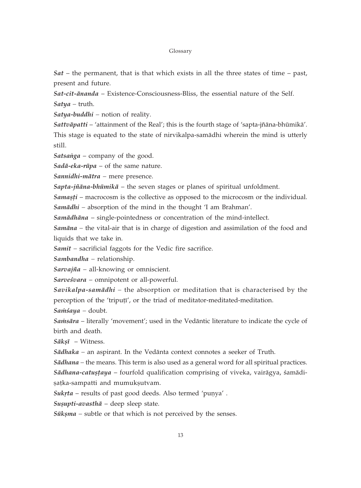*Sat* – the permanent, that is that which exists in all the three states of time – past, present and future.

Sat-cit-ānanda – Existence-Consciousness-Bliss, the essential nature of the Self.  $Satya$  – truth.

Satya-buddhi - notion of reality.

Sattvāpatti – 'attainment of the Real'; this is the fourth stage of 'sapta-jñāna-bhūmikā'. This stage is equated to the state of nirvikalpa-samadhi wherein the mind is utterly still.

Satsanga - company of the good.

 $Sad\bar{a}$ -eka-rūpa – of the same nature.

Sannidhi-mātra - mere presence.

Sapta-jñāna-bhūmikā – the seven stages or planes of spiritual unfoldment.

Samasti – macrocosm is the collective as opposed to the microcosm or the individual.

Samādhi – absorption of the mind in the thought  $T$  am Brahman'.

Samādhāna - single-pointedness or concentration of the mind-intellect.

Samāna - the vital-air that is in charge of digestion and assimilation of the food and liquids that we take in.

Samit - sacrificial faggots for the Vedic fire sacrifice.

Sambandha - relationship.

 $Sarvaj\tilde{n}a$  – all-knowing or omniscient.

Sarveśvara – omnipotent or all-powerful.

Savikalpa-samādhi - the absorption or meditation that is characterised by the perception of the 'tripuṭī', or the triad of meditator-meditated-meditation.

Samsaya - doubt.

Samsāra - literally 'movement'; used in the Vedāntic literature to indicate the cycle of birth and death.

 $S\bar{a}k\overline{s}$  – Witness.

Sādhaka - an aspirant. In the Vedānta context connotes a seeker of Truth.

Sādhana – the means. This term is also used as a general word for all spiritual practices.

Sādhana-catustaya - fourfold qualification comprising of viveka, vairāgya, śamādisațka-sampatti and mumukșutvam.

Sukrta - results of past good deeds. Also termed 'punya'.

Sușupti-avasthā - deep sleep state.

 $S\bar{u}$ *ksma* – subtle or that which is not perceived by the senses.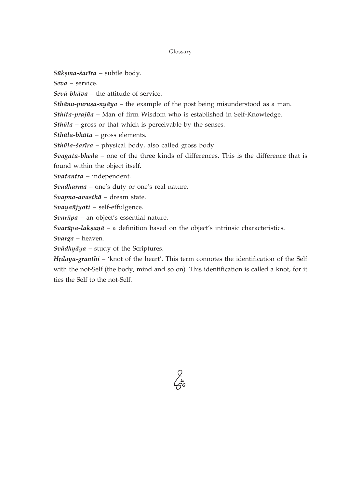$S\bar{u}$ kșma-śarīra – subtle body.

 $Seva$  – service.

 $Sev\bar{a}-bh\bar{a}va$  – the attitude of service.

*Sthānu-puruṣa-nyāya* – the example of the post being misunderstood as a man.

Sthita-prajña - Man of firm Wisdom who is established in Self-Knowledge.

 $Sthūla -$  gross or that which is perceivable by the senses.

Sthūla-bhūta - gross elements.

Sthūla-śarīra - physical body, also called gross body.

Svagata-bheda - one of the three kinds of differences. This is the difference that is found within the object itself.

Svatantra - independent.

Svadharma - one's duty or one's real nature.

Svapna-avasthā - dream state.

Svayañjyoti - self-effulgence.

 $Svarüpa$  – an object's essential nature.

Svarūpa-laksaņā – a definition based on the object's intrinsic characteristics.

Svarga - heaven.

Svādhyāya - study of the Scriptures.

Hrdaya-granthi – 'knot of the heart'. This term connotes the identification of the Self with the not-Self (the body, mind and so on). This identification is called a knot, for it ties the Self to the not-Self.

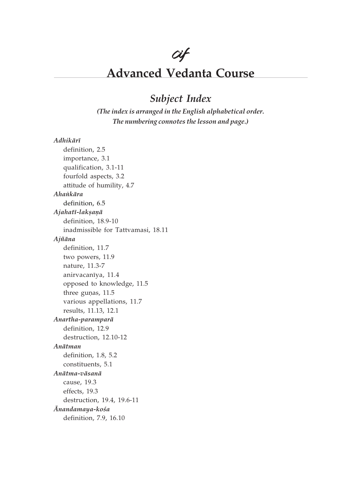# cif

# **Advanced Vedanta Course**

# Subject Index

(The index is arranged in the English alphabetical order. The numbering connotes the lesson and page.)

### $Adhik\bar{a}r\bar{\imath}$

definition, 2.5 importance, 3.1 qualification, 3.1-11 fourfold aspects, 3.2 attitude of humility, 4.7 Ahankāra definition, 6.5 Ajahatī-lakṣaṇā definition, 18.9-10 inadmissible for Tattvamasi, 18.11 Ajñāna definition, 11.7 two powers, 11.9 nature, 11.3-7 anirvacanīya, 11.4 opposed to knowledge, 11.5 three gunas, 11.5 various appellations, 11.7 results, 11.13, 12.1 Anartha-paramparā definition, 12.9 destruction, 12.10-12 Anātman definition, 1.8, 5.2 constituents, 5.1 Anātma-vāsanā cause, 19.3 effects, 19.3 destruction, 19.4, 19.6-11 Ānandamaya-kośa definition, 7.9, 16.10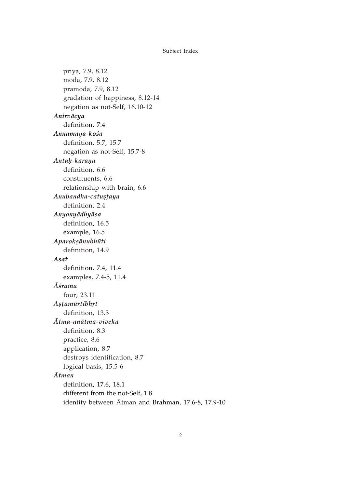priya, 7.9, 8.12 moda, 7.9, 8.12 pramoda, 7.9, 8.12 gradation of happiness, 8.12-14 negation as not-Self, 16.10-12 Anirvācya definition, 7.4 Annamaya-kośa definition, 5.7, 15.7 negation as not-Self, 15.7-8 Antah-karana definition, 6.6 constituents, 6.6 relationship with brain, 6.6 Anubandha-catustaya definition, 2.4 Anyonyādhyāsa definition, 16.5 example, 16.5 Aparoksānubhūti definition, 14.9 Asat definition, 7.4, 11.4 examples, 7.4-5, 11.4 Āśrama four, 23.11 Astamūrtibhrt definition, 13.3 Ātma-anātma-viveka definition, 8.3 practice, 8.6 application, 8.7 destroys identification, 8.7 logical basis, 15.5-6  $\bar{A}$ tman definition, 17.6, 18.1 different from the not-Self, 1.8 identity between Atman and Brahman, 17.6-8, 17.9-10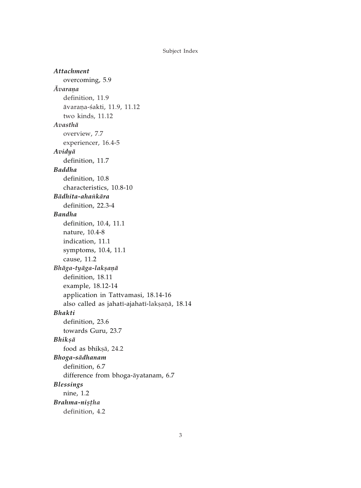**Attachment** overcoming, 5.9 **Avarana** definition, 11.9 āvaraņa-śakti, 11.9, 11.12 two kinds, 11.12 Avasthā overview, 7.7 experiencer, 16.4-5 Avidyā definition, 11.7 **Baddha** definition, 10.8 characteristics, 10.8-10 Bādhita-ahankāra definition, 22.3-4 **Bandha** definition, 10.4, 11.1 nature, 10.4-8 indication, 11.1 symptoms, 10.4, 11.1 cause, 11.2 Bhāga-tyāga-lakṣaṇā definition, 18.11 example, 18.12-14 application in Tattvamasi, 18.14-16 also called as jahatī-ajahatī-lakṣaṇā, 18.14 **Bhakti** definition, 23.6 towards Guru, 23.7 Bhikṣā food as bhikṣā, 24.2 Bhoga-sādhanam definition, 6.7 difference from bhoga-āyatanam, 6.7 **Blessings** nine, 1.2 Brahma-nistha definition, 4.2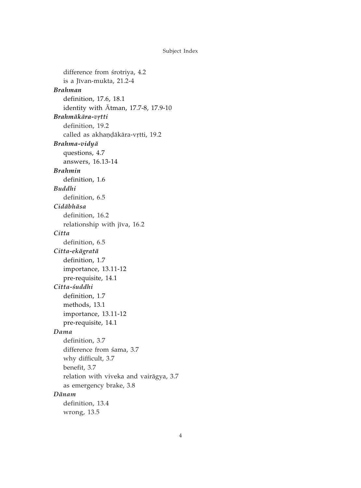difference from śrotriya, 4.2 is a Jīvan-mukta, 21.2-4 **Brahman** definition, 17.6, 18.1 identity with  $\bar{A}$ tman, 17.7-8, 17.9-10 Brahmākāra-vrtti definition, 19.2 called as akhandākāra-vrtti, 19.2 Brahma-vidyā questions, 4.7 answers, 16.13-14 **Brahmin** definition, 1.6 **Buddhi** definition, 6.5 Cidābhāsa definition, 16.2 relationship with jīva, 16.2 Citta definition, 6.5 Citta-ekāgratā definition, 1.7 importance, 13.11-12 pre-requisite, 14.1 Citta-śuddhi definition, 1.7 methods, 13.1 importance, 13.11-12 pre-requisite, 14.1 Dama definition, 3.7 difference from śama, 3.7 why difficult, 3.7 benefit, 3.7 relation with viveka and vairāgya, 3.7 as emergency brake, 3.8 Dānam definition, 13.4 wrong, 13.5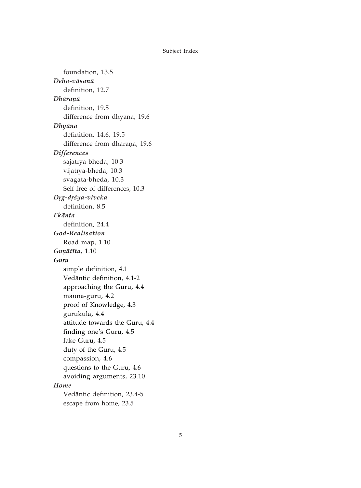foundation, 13.5 Deha-vāsanā definition, 12.7 Dhāranā definition, 19.5 difference from dhyāna, 19.6 Dhyāna definition, 14.6, 19.5 difference from dhāraņā, 19.6 **Differences** sajātīya-bheda, 10.3 vijātīya-bheda, 10.3 svagata-bheda, 10.3 Self free of differences, 10.3 Drg-drśya-viveka definition, 8.5 Ekānta definition, 24.4 God-Realisation Road map, 1.10 Gunātīta, 1.10 Guru simple definition, 4.1 Vedāntic definition, 4.1-2 approaching the Guru, 4.4 mauna-guru, 4.2 proof of Knowledge, 4.3 gurukula, 4.4 attitude towards the Guru, 4.4 finding one's Guru, 4.5 fake Guru, 4.5 duty of the Guru, 4.5 compassion, 4.6 questions to the Guru, 4.6 avoiding arguments, 23.10 Home Vedāntic definition, 23.4-5 escape from home, 23.5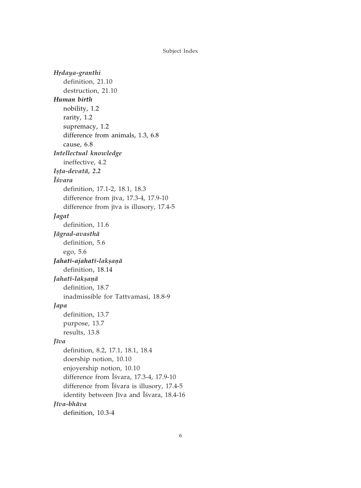Hrdaya-granthi definition, 21.10 destruction, 21.10 Human birth nobility, 1.2 rarity, 1.2 supremacy, 1.2 difference from animals, 1.3, 6.8 cause, 6.8 Intellectual knowledge ineffective, 4.2 Ișța-devatā, 2.2 **I**śvara definition, 17.1-2, 18.1, 18.3 difference from jīva, 17.3-4, 17.9-10 difference from jīva is illusory, 17.4-5 Jagat definition, 11.6 Jāgrad-avasthā definition, 5.6 ego, 5.6 Jahatī-ajahatī-lakṣaṇā definition, 18.14 Jahatī-lakṣaṇā definition, 18.7 inadmissible for Tattvamasi, 18.8-9 Japa definition, 13.7 purpose, 13.7 results, 13.8 Jīva definition, 8.2, 17.1, 18.1, 18.4 doership notion, 10.10 enjoyership notion, 10.10 difference from Isvara, 17.3-4, 17.9-10 difference from Isvara is illusory, 17.4-5 identity between Jīva and Īśvara, 18.4-16 Jīva-bhāva definition, 10.3-4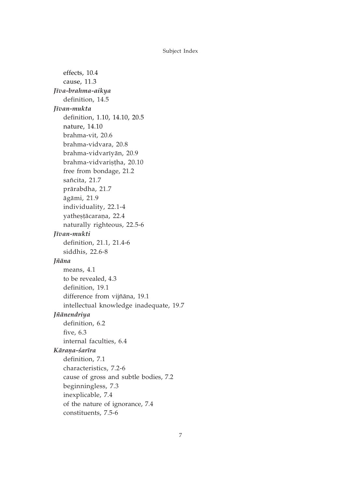effects, 10.4 cause, 11.3 Jīva-brahma-aikya definition, 14.5 Iīvan-mukta definition, 1.10, 14.10, 20.5 nature, 14.10 brahma-vit, 20.6 brahma-vidvara, 20.8 brahma-vidvarīyān, 20.9 brahma-vidvarisțha, 20.10 free from bondage, 21.2 sañcita, 21.7 prārabdha, 21.7 āgāmi, 21.9 individuality, 22.1-4 yathestācaraņa, 22.4 naturally righteous, 22.5-6 Jīvan-mukti definition, 21.1, 21.4-6 siddhis, 22.6-8 Jñāna means, 4.1 to be revealed, 4.3 definition, 19.1 difference from vijñāna, 19.1 intellectual knowledge inadequate, 19.7 *Jñānendriya* definition, 6.2 five,  $6.3$ internal faculties, 6.4 Kārana-śarīra definition, 7.1 characteristics, 7.2-6 cause of gross and subtle bodies, 7.2 beginningless, 7.3 inexplicable, 7.4 of the nature of ignorance, 7.4 constituents, 7.5-6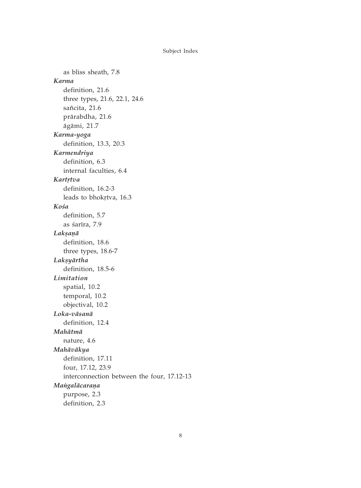as bliss sheath, 7.8 Karma definition, 21.6 three types, 21.6, 22.1, 24.6 sañcita, 21.6 prārabdha, 21.6 āgāmi, 21.7 Karma-yoga definition, 13.3, 20.3 Karmendriya definition, 6.3 internal faculties, 6.4 Kartrtva definition, 16.2-3 leads to bhokrtva, 16.3 Kośa definition, 5.7 as śarīra, 7.9 Laksanā definition, 18.6 three types, 18.6-7 Lakṣyārtha definition, 18.5-6 Limitation spatial, 10.2 temporal, 10.2 objectival, 10.2 Loka-vāsanā definition, 12.4 Mahātmā nature, 4.6 Mahāvākya definition, 17.11 four, 17.12, 23.9 interconnection between the four, 17.12-13 Mangalācaraņa purpose, 2.3 definition, 2.3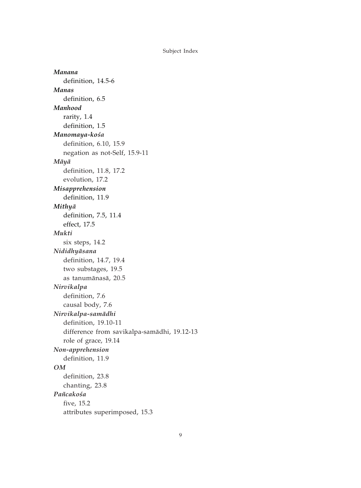Manana definition, 14.5-6 Manas definition, 6.5 Manhood rarity, 1.4 definition, 1.5 Manomaya-kośa definition, 6.10, 15.9 negation as not-Self, 15.9-11  $M\bar{a}y\bar{a}$ definition, 11.8, 17.2 evolution, 17.2 Misapprehension definition, 11.9 Mithyā definition, 7.5, 11.4 effect, 17.5 Mukti six steps, 14.2 Nididhyāsana definition, 14.7, 19.4 two substages, 19.5 as tanumānasā, 20.5 Nirvikalpa definition, 7.6 causal body, 7.6 Nirvikalpa-samādhi definition, 19.10-11 difference from savikalpa-samādhi, 19.12-13 role of grace, 19.14 Non-apprehension definition, 11.9  $OM$ definition, 23.8 chanting, 23.8 Pañcakośa five, 15.2 attributes superimposed, 15.3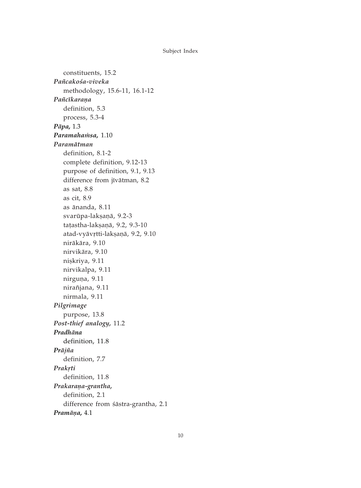constituents, 15.2 Pañcakośa-viveka methodology, 15.6-11, 16.1-12 Pañcīkaraņa definition. 5.3 process, 5.3-4 Pāpa, 1.3 Paramahamsa, 1.10 Paramātman definition, 8.1-2 complete definition, 9.12-13 purpose of definition, 9.1, 9.13 difference from jīvātman, 8.2 as sat,  $8.8$ as cit, 8.9 as ānanda, 8.11 svarūpa-laksaņā, 9.2-3 tațastha-lakșanā, 9.2, 9.3-10 atad-vyāvrtti-laksaņā, 9.2, 9.10 nirākāra, 9.10 nirvikāra, 9.10 nişkriya, 9.11 nirvikalpa, 9.11 nirguņa, 9.11 nirañjana, 9.11 nirmala, 9.11 Pilgrimage purpose, 13.8 Post-thief analogy, 11.2 Pradhāna definition, 11.8 Prājña definition, 7.7 Prakrti definition, 11.8 Prakarana-grantha, definition, 2.1 difference from śāstra-grantha, 2.1 Pramāņa, 4.1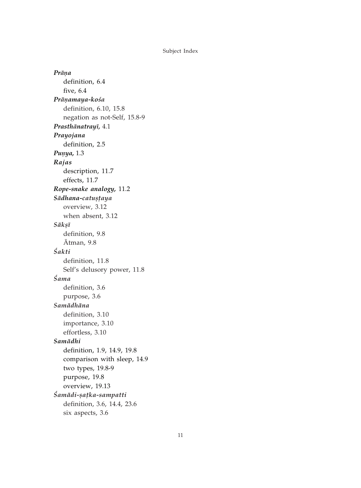Prāna definition, 6.4 five, 6.4 Prāņamaya-kośa definition, 6.10, 15.8 negation as not-Self, 15.8-9 Prasthānatrayī, 4.1 Prayojana definition, 2.5 Punya, 1.3 Rajas description, 11.7 effects, 11.7 Rope-snake analogy, 11.2 Sādhana-catustaya overview, 3.12 when absent, 3.12 Sākṣī definition, 9.8 Ātman, 9.8 Śakti definition, 11.8 Self's delusory power, 11.8 Śama definition, 3.6 purpose, 3.6 Samādhāna definition, 3.10 importance, 3.10 effortless, 3.10 Samādhi definition, 1.9, 14.9, 19.8 comparison with sleep, 14.9 two types, 19.8-9 purpose, 19.8 overview, 19.13 Śamādi-satka-sampatti definition, 3.6, 14.4, 23.6 six aspects, 3.6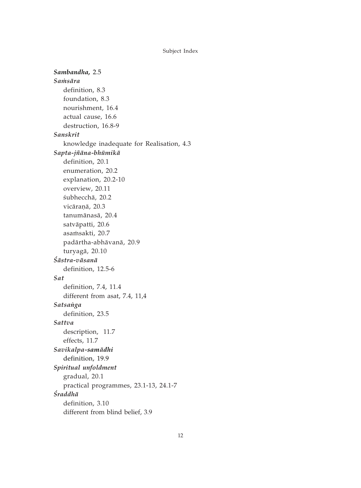Sambandha, 2.5 Samsāra definition, 8.3 foundation, 8.3 nourishment, 16.4 actual cause, 16.6 destruction, 16.8-9 Sanskrit knowledge inadequate for Realisation, 4.3 Sapta-jñāna-bhūmikā definition, 20.1 enumeration, 20.2 explanation, 20.2-10 overview, 20.11 śubhecchā, 20.2 vicāranā, 20.3 tanumānasā, 20.4 satvāpatti, 20.6 asamsakti, 20.7 padārtha-abhāvanā, 20.9 turyagā, 20.10 Śāstra-vāsanā definition, 12.5-6 Sat definition, 7.4, 11.4 different from asat, 7.4, 11,4 Satsanga definition, 23.5 Sattva description, 11.7 effects, 11.7 Savikalpa-samādhi definition, 19.9 Spiritual unfoldment gradual, 20.1 practical programmes, 23.1-13, 24.1-7 Śraddhā definition, 3.10 different from blind belief, 3.9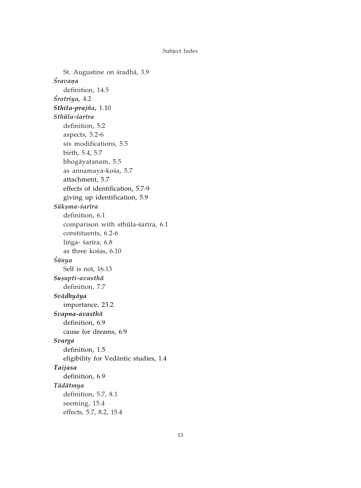St. Augustine on śradhā, 3.9 Śravana definition, 14.5 Śrotriya, 4.2 Sthita-prajña, 1.10 Sthūla-śarīra definition, 5.2 aspects, 5.2-6 six modifications, 5.5 birth, 5.4, 5.7 bhogāyatanam, 5.5 as annamaya-kośa, 5.7 attachment, 5.7 effects of identification, 5.7-9 giving up identification, 5.9 Sūkșma-śarīra definition, 6.1 comparison with sthūla-śarīra, 6.1 constituents, 6.2-6 linga- śarīra, 6.8 as three kośas, 6.10 Śūnya Self is not, 16.13 Susupti-avasthā definition, 7.7 Svādhyāya importance, 23.2 Svapna-avasthā definition, 6.9 cause for dreams, 6.9 Svarga definition, 1.5 eligibility for Vedāntic studies, 1.4 Taijasa definition, 6.9 Tādātmya definition, 5.7, 8.1 seeming, 15.4 effects, 5.7, 8.2, 15.4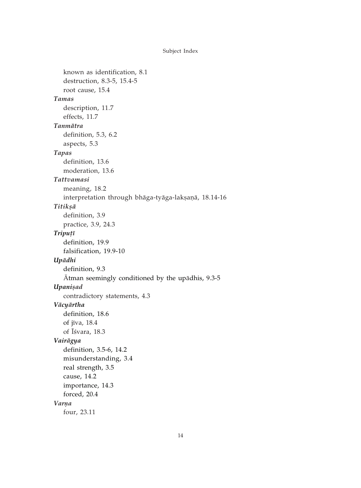```
known as identification, 8.1
   destruction, 8.3-5, 15.4-5
   root cause, 15.4
Tamas
   description, 11.7
   effects, 11.7
Tanmātra
   definition, 5.3, 6.2
   aspects, 5.3
Tapas
   definition, 13.6
   moderation, 13.6
Tattvamasi
   meaning, 18.2
   interpretation through bhāga-tyāga-lakṣaṇā, 18.14-16
Titikșā
   definition, 3.9
   practice, 3.9, 24.3
Tripuțī
   definition, 19.9
   falsification, 19.9-10
Upādhi
   definition, 9.3
   Atman seemingly conditioned by the upadhis, 9.3-5
Upanisad
   contradictory statements, 4.3
Vācyārtha
   definition, 18.6
   of jīva, 18.4
   of Isvara, 18.3
Vairāgya
   definition, 3.5-6, 14.2
   misunderstanding, 3.4
   real strength, 3.5
   cause, 14.2
   importance, 14.3
   forced, 20.4
Varna
   four, 23.11
```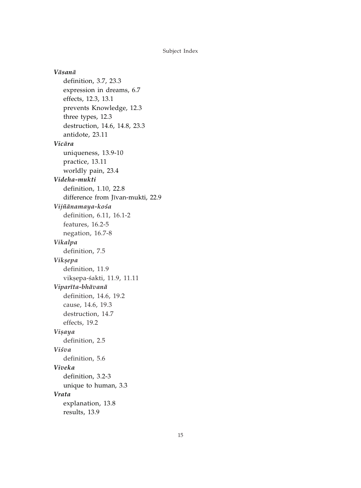Vāsanā definition, 3.7, 23.3 expression in dreams, 6.7 effects, 12.3, 13.1 prevents Knowledge, 12.3 three types, 12.3 destruction, 14.6, 14.8, 23.3 antidote, 23.11 Vicāra uniqueness, 13.9-10 practice, 13.11 worldly pain, 23.4 Videha-mukti definition, 1.10, 22.8 difference from Jīvan-mukti, 22.9 Vijñānamaya-kośa definition, 6.11, 16.1-2 features, 16.2-5 negation, 16.7-8 Vikalpa definition, 7.5 Vikșepa definition, 11.9 vikșepa-śakti, 11.9, 11.11 Viparīta-bhāvanā definition, 14.6, 19.2 cause, 14.6, 19.3 destruction, 14.7 effects, 19.2 Vişaya definition, 2.5 Viśva definition, 5.6 Viveka definition, 3.2-3 unique to human, 3.3 Vrata explanation, 13.8 results, 13.9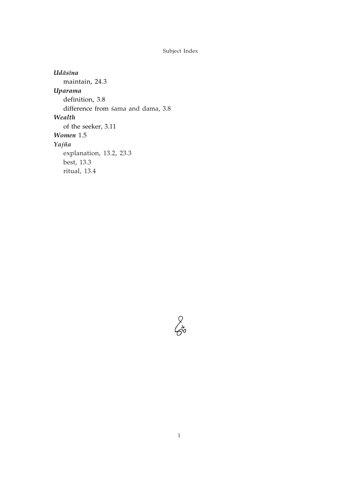Udāsīna maintain, 24.3 Uparama definition, 3.8 difference from sama and dama, 3.8 Wealth of the seeker, 3.11 Women 1.5 Yajña explanation, 13.2, 23.3 best, 13.3 ritual, 13.4

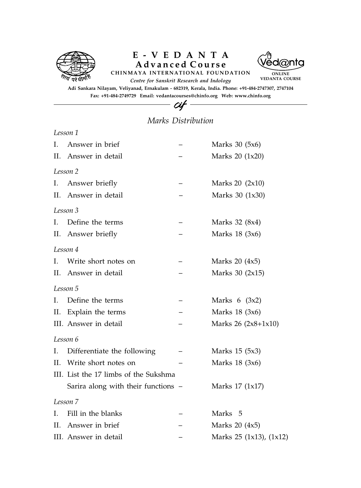

## Advanced Course E-VEDANTA





ONLINE VEDANTA COURSE

Adi Sankara Nilayam, Veliyanad, Ernakulam - 682319, Kerala, India. Phone: +91-484-2747307, 2747104 Fax: +91-484-2749729 Email: vedantacourses@chinfo.org Web: www.chinfo.org

### Marks Distribution

 $-cif$ 

|              | Lesson 1                              |                         |
|--------------|---------------------------------------|-------------------------|
| $\mathbf{L}$ | Answer in brief                       | Marks 30 (5x6)          |
|              | II. Answer in detail                  | Marks 20 (1x20)         |
|              | Lesson 2                              |                         |
| Ι.           | Answer briefly                        | Marks 20 $(2x10)$       |
| П.           | Answer in detail                      | Marks 30 (1x30)         |
|              | Lesson 3                              |                         |
| L.           | Define the terms                      | Marks 32 (8x4)          |
| П.           | Answer briefly                        | Marks 18 (3x6)          |
|              | Lesson 4                              |                         |
| L.           | Write short notes on                  | Marks $20(4x5)$         |
|              | II. Answer in detail                  | Marks 30 (2x15)         |
|              | Lesson 5                              |                         |
| Ι.           | Define the terms                      | Marks $6(3x2)$          |
| П.           | Explain the terms                     | Marks 18 (3x6)          |
|              | III. Answer in detail                 | Marks $26 (2x8+1x10)$   |
|              | Lesson 6                              |                         |
| I.           | Differentiate the following           | Marks 15 (5x3)          |
| H.           | Write short notes on                  | Marks 18 (3x6)          |
|              | III. List the 17 limbs of the Sukshma |                         |
|              | Sarira along with their functions -   | Marks 17 (1x17)         |
|              | Lesson 7                              |                         |
| L.           | Fill in the blanks                    | Marks 5                 |
| H.           | Answer in brief                       | Marks $20$ $(4x5)$      |
|              | III. Answer in detail                 | Marks 25 (1x13), (1x12) |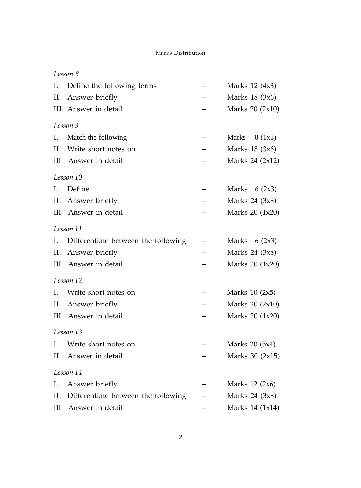#### Marks Distribution

### Lesson 8

| I.  | Define the following terms          | Marks 12 (4x3)      |
|-----|-------------------------------------|---------------------|
| ΙΙ. | Answer briefly                      | Marks 18 (3x6)      |
|     | III. Answer in detail               | Marks $20$ $(2x10)$ |
|     | Lesson 9                            |                     |
| Ι.  | Match the following                 | Marks<br>8(1x8)     |
| H.  | Write short notes on                | Marks 18 (3x6)      |
|     | III. Answer in detail               | Marks 24 (2x12)     |
|     | Lesson 10                           |                     |
| L.  | Define                              | Marks $6(2x3)$      |
| II. | Answer briefly                      | Marks 24 (3x8)      |
|     | III. Answer in detail               | Marks 20 (1x20)     |
|     | Lesson 11                           |                     |
| Ι.  | Differentiate between the following | Marks $6(2x3)$      |
| П.  | Answer briefly                      | Marks 24 (3x8)      |
|     | III. Answer in detail               | Marks 20 (1x20)     |
|     | Lesson 12                           |                     |
| L.  | Write short notes on                | Marks $10(2x5)$     |
| П.  | Answer briefly                      | Marks 20 (2x10)     |
|     | III. Answer in detail               | Marks 20 (1x20)     |
|     | Lesson 13                           |                     |
| L.  | Write short notes on                | Marks 20 (5x4)      |
| П.  | Answer in detail                    | Marks 30 (2x15)     |
|     | Lesson 14                           |                     |
| Ι.  | Answer briefly                      | Marks $12 \ (2x6)$  |
| П.  | Differentiate between the following | Marks 24 (3x8)      |
|     | III. Answer in detail               | Marks 14 (1x14)     |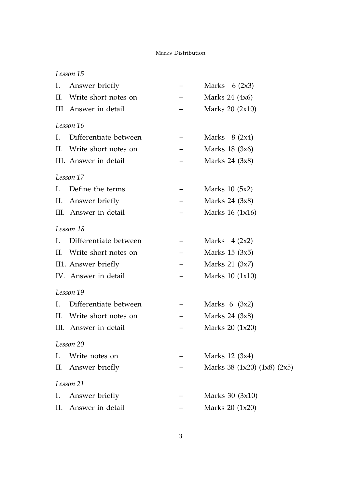### Marks Distribution

|    | Lesson 15             |                                   |
|----|-----------------------|-----------------------------------|
| L. | Answer briefly        | Marks $6(2x3)$                    |
| H. | Write short notes on  | Marks 24 (4x6)                    |
|    | III Answer in detail  | Marks 20 (2x10)                   |
|    | Lesson 16             |                                   |
| L. | Differentiate between | Marks $8(2x4)$                    |
| H. | Write short notes on  | Marks 18 (3x6)                    |
|    | III. Answer in detail | Marks 24 (3x8)                    |
|    | Lesson 17             |                                   |
| L. | Define the terms      | Marks 10 (5x2)                    |
| Π. | Answer briefly        | Marks 24 (3x8)                    |
|    | III. Answer in detail | Marks 16 (1x16)                   |
|    | Lesson 18             |                                   |
| L. | Differentiate between | Marks $4 (2x2)$                   |
| H. | Write short notes on  | Marks 15 (3x5)                    |
|    | II1. Answer briefly   | Marks 21 (3x7)                    |
|    | IV. Answer in detail  | Marks 10 (1x10)                   |
|    | Lesson 19             |                                   |
| L. | Differentiate between | Marks $6(3x2)$                    |
| H. | Write short notes on  | Marks 24 (3x8)                    |
|    | III. Answer in detail | Marks 20 (1x20)                   |
|    | Lesson 20             |                                   |
| L. | Write notes on        | Marks 12 (3x4)                    |
| П. | Answer briefly        | Marks 38 $(1x20)$ $(1x8)$ $(2x5)$ |
|    | Lesson 21             |                                   |
| L. | Answer briefly        | Marks 30 (3x10)                   |
| П. | Answer in detail      | Marks 20 (1x20)                   |
|    |                       |                                   |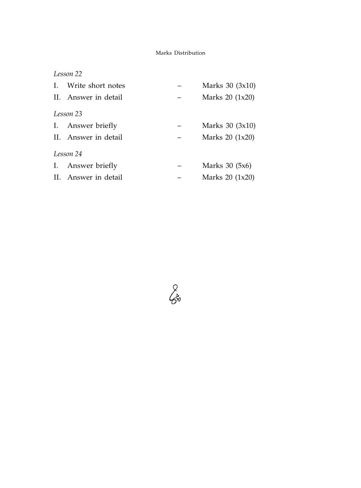### Marks Distribution

|           | Lesson 22            |  |                  |  |
|-----------|----------------------|--|------------------|--|
| L.        | Write short notes    |  | Marks $30(3x10)$ |  |
|           | II. Answer in detail |  | Marks $20(1x20)$ |  |
| Lesson 23 |                      |  |                  |  |
|           | I. Answer briefly    |  | Marks $30(3x10)$ |  |
|           | II. Answer in detail |  | Marks $20(1x20)$ |  |
|           | Lesson 24            |  |                  |  |
|           | I. Answer briefly    |  | Marks 30 (5x6)   |  |
|           | II. Answer in detail |  | Marks 20 (1x20)  |  |

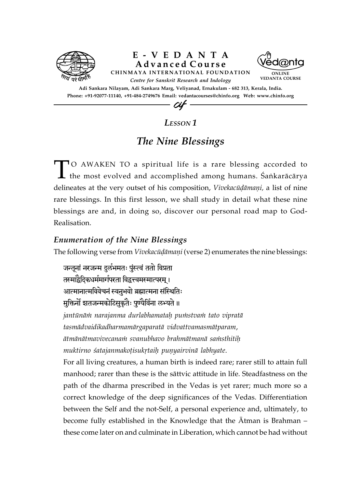

### *LESSON 1*

## *The Nine Blessings*

TO AWAKEN TO a spiritual life is a rare blessing accorded to  $\mathsf L$  the most evolved and accomplished among humans. Śaṅkarācārya delineates at the very outset of his composition, *Vivekacūdāmani*, a list of nine rare blessings. In this first lesson, we shall study in detail what these nine blessings are and, in doing so, discover our personal road map to God-Realisation.

### *Enumeration of the Nine Blessings*

The following verse from *Vivekacūḍāmaṇi* (verse 2) enumerates the nine blessings:

जन्तूनां नरजन्म दुर्लभमतः पुंस्त्वं ततो विप्रता तस्माद्वैदिकधर्ममार्गपरता विद्वत्त्वमस्मात्परम् । आत्मानात्मविवेचनं स्वनुभवो ब्रह्मात्मना संस्थितिः मुक्तिनों शतजन्मकोटिसुकृतैः पुण्यैर्विना लभ्यते ॥ jantūnām narajanma durlabhamatah pumstvam tato vipratā

*tasmädvaidikadharmamärgaparatä vidvattvamasmätparam*, *ätmänätmavivecanaà svanubhavo brahmätmanä saàsthitiù muktirno śatajanmakotisukrtaih punyairvinā labhyate.* 

For all living creatures, a human birth is indeed rare; rarer still to attain full manhood; rarer than these is the sättvic attitude in life. Steadfastness on the path of the dharma prescribed in the Vedas is yet rarer; much more so a correct knowledge of the deep significances of the Vedas. Differentiation between the Self and the not-Self, a personal experience and, ultimately, to become fully established in the Knowledge that the Ätman is Brahman – these come later on and culminate in Liberation, which cannot be had without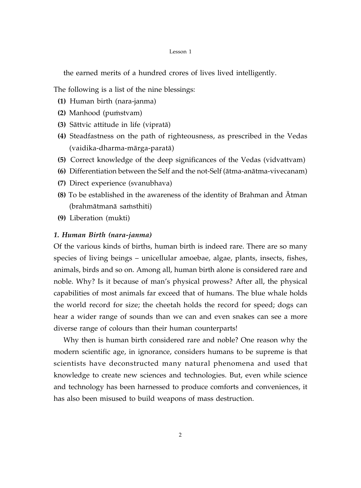#### Lesson 1

the earned merits of a hundred crores of lives lived intelligently.

The following is a list of the nine blessings:

- **(1)** Human birth (nara-janma)
- **(2)** Manhood (pumstvam)
- **(3)** Sättvic attitude in life (vipratä)
- **(4)** Steadfastness on the path of righteousness, as prescribed in the Vedas (vaidika-dharma-märga-paratä)
- **(5)** Correct knowledge of the deep significances of the Vedas (vidvattvam)
- **(6)** Differentiation between the Self and the not-Self (ätma-anätma-vivecanam)
- **(7)** Direct experience (svanubhava)
- **(8)** To be established in the awareness of the identity of Brahman and Ätman (brahmātmanā samsthiti)
- **(9)** Liberation (mukti)

### *1. Human Birth (nara-janma)*

Of the various kinds of births, human birth is indeed rare. There are so many species of living beings – unicellular amoebae, algae, plants, insects, fishes, animals, birds and so on. Among all, human birth alone is considered rare and noble. Why? Is it because of man's physical prowess? After all, the physical capabilities of most animals far exceed that of humans. The blue whale holds the world record for size; the cheetah holds the record for speed; dogs can hear a wider range of sounds than we can and even snakes can see a more diverse range of colours than their human counterparts!

Why then is human birth considered rare and noble? One reason why the modern scientific age, in ignorance, considers humans to be supreme is that scientists have deconstructed many natural phenomena and used that knowledge to create new sciences and technologies. But, even while science and technology has been harnessed to produce comforts and conveniences, it has also been misused to build weapons of mass destruction.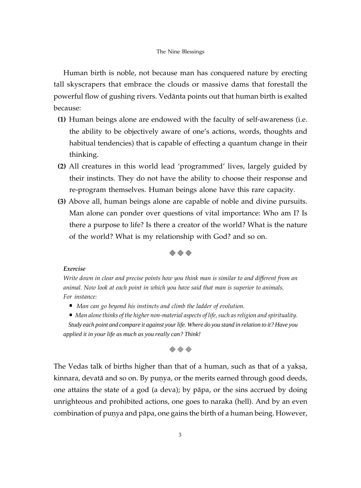#### The Nine Blessings

Human birth is noble, not because man has conquered nature by erecting tall skyscrapers that embrace the clouds or massive dams that forestall the powerful flow of gushing rivers. Vedänta points out that human birth is exalted because:

- **(1)** Human beings alone are endowed with the faculty of self-awareness (i.e. the ability to be objectively aware of one's actions, words, thoughts and habitual tendencies) that is capable of effecting a quantum change in their thinking.
- **(2)** All creatures in this world lead 'programmed' lives, largely guided by their instincts. They do not have the ability to choose their response and re-program themselves. Human beings alone have this rare capacity.
- **(3)** Above all, human beings alone are capable of noble and divine pursuits. Man alone can ponder over questions of vital importance: Who am I? Is there a purpose to life? Is there a creator of the world? What is the nature of the world? What is my relationship with God? and so on.



#### *Exercise*

*Write down in clear and precise points how you think man is similar to and different from an animal. Now look at each point in which you have said that man is superior to animals. For instance:*

*Man can go beyond his instincts and climb the ladder of evolution.*

 *Man alone thinks of the higher non-material aspects of life, such as religion and spirituality. Study each point and compare it against your life. Where do you stand in relation to it? Have you applied it in your life as much as you really can? Think!*

### $\diamond$   $\diamond$   $\diamond$

The Vedas talk of births higher than that of a human, such as that of a yakṣa, kinnara, devatā and so on. By puņya, or the merits earned through good deeds, one attains the state of a god (a deva); by päpa, or the sins accrued by doing unrighteous and prohibited actions, one goes to naraka (hell). And by an even combination of punya and pāpa, one gains the birth of a human being. However,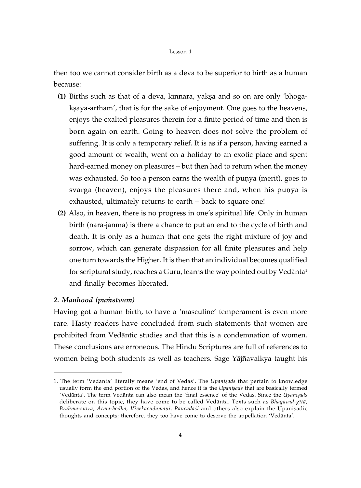#### Lesson 1

then too we cannot consider birth as a deva to be superior to birth as a human because:

- **(1)** Births such as that of a deva, kinnara, yaksa and so on are only 'bhogakṣaya-artham', that is for the sake of enjoyment. One goes to the heavens, enjoys the exalted pleasures therein for a finite period of time and then is born again on earth. Going to heaven does not solve the problem of suffering. It is only a temporary relief. It is as if a person, having earned a good amount of wealth, went on a holiday to an exotic place and spent hard-earned money on pleasures – but then had to return when the money was exhausted. So too a person earns the wealth of punya (merit), goes to svarga (heaven), enjoys the pleasures there and, when his punya is exhausted, ultimately returns to earth – back to square one!
- **(2)** Also, in heaven, there is no progress in one's spiritual life. Only in human birth (nara-janma) is there a chance to put an end to the cycle of birth and death. It is only as a human that one gets the right mixture of joy and sorrow, which can generate dispassion for all finite pleasures and help one turn towards the Higher. It is then that an individual becomes qualified for scriptural study, reaches a Guru, learns the way pointed out by Vedānta<sup>1</sup> and finally becomes liberated.

### *2. Manhood (puàstvam)*

Having got a human birth, to have a 'masculine' temperament is even more rare. Hasty readers have concluded from such statements that women are prohibited from Vedäntic studies and that this is a condemnation of women. These conclusions are erroneous. The Hindu Scriptures are full of references to women being both students as well as teachers. Sage Yäjïavalkya taught his

<sup>1.</sup> The term 'Vedānta' literally means 'end of Vedas'. The *Upanișads* that pertain to knowledge usually form the end portion of the Vedas, and hence it is the *Upanisads* that are basically termed 'Vedānta'. The term Vedānta can also mean the 'final essence' of the Vedas. Since the *Upanisads* deliberate on this topic, they have come to be called Vedänta. Texts such as *Bhagavad-gétä,* Brahma-sūtra, Ātma-bodha, Vivekacūdāmani, Pañcadasi and others also explain the Upanisadic thoughts and concepts; therefore, they too have come to deserve the appellation 'Vedänta'.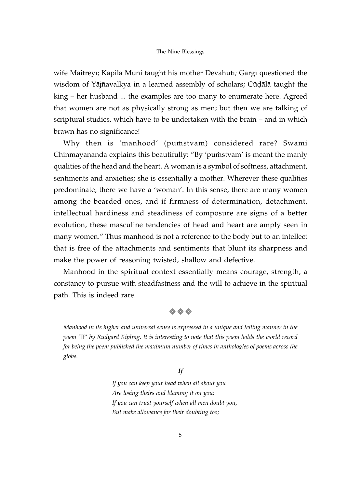#### The Nine Blessings

wife Maitreyé; Kapila Muni taught his mother Devahüté*;* Gärgé questioned the wisdom of Yājñavalkya in a learned assembly of scholars; Cūdālā taught the king – her husband ... the examples are too many to enumerate here. Agreed that women are not as physically strong as men; but then we are talking of scriptural studies, which have to be undertaken with the brain – and in which brawn has no significance!

Why then is 'manhood' (pumstvam) considered rare? Swami Chinmayananda explains this beautifully: "By 'pumstvam' is meant the manly qualities of the head and the heart. A woman is a symbol of softness, attachment, sentiments and anxieties; she is essentially a mother. Wherever these qualities predominate, there we have a 'woman'. In this sense, there are many women among the bearded ones, and if firmness of determination, detachment, intellectual hardiness and steadiness of composure are signs of a better evolution, these masculine tendencies of head and heart are amply seen in many women." Thus manhood is not a reference to the body but to an intellect that is free of the attachments and sentiments that blunt its sharpness and make the power of reasoning twisted, shallow and defective.

Manhood in the spiritual context essentially means courage, strength, a constancy to pursue with steadfastness and the will to achieve in the spiritual path. This is indeed rare.

#### $\diamond$   $\diamond$   $\diamond$

*Manhood in its higher and universal sense is expressed in a unique and telling manner in the poem* 'IF' *by Rudyard Kipling. It is interesting to note that this poem holds the world record for being the poem published the maximum number of times in anthologies of poems across the globe.*

#### *If*

*If you can keep your head when all about you Are losing theirs and blaming it on you; If you can trust yourself when all men doubt you, But make allowance for their doubting too;*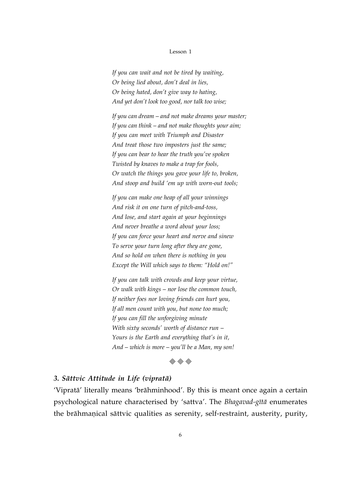#### Lesson 1

*If you can wait and not be tired by waiting, Or being lied about, don't deal in lies, Or being hated, don't give way to hating, And yet don't look too good, nor talk too wise;*

*If you can dream* – *and not make dreams your master; If you can think* – *and not make thoughts your aim; If you can meet with Triumph and Disaster And treat those two imposters just the same; If you can bear to hear the truth you've spoken Twisted by knaves to make a trap for fools, Or watch the things you gave your life to, broken, And stoop and build 'em up with worn-out tools;*

*If you can make one heap of all your winnings And risk it on one turn of pitch-and-toss, And lose, and start again at your beginnings And never breathe a word about your loss; If you can force your heart and nerve and sinew To serve your turn long after they are gone, And so hold on when there is nothing in you Except the Will which says to them: "Hold on!"*

*If you can talk with crowds and keep your virtue, Or walk with kings* – *nor lose the common touch, If neither foes nor loving friends can hurt you, If all men count with you, but none too much; If you can fill the unforgiving minute With sixty seconds' worth of distance run* – *Yours is the Earth and everything that's in it, And* – *which is more* – *you'll be a Man, my son!*



### *3. Sättvic Attitude in Life (vipratä)*

'Vipratä' literally means 'brähminhood'. By this is meant once again a certain psychological nature characterised by 'sattva'. The *Bhagavad-gétä* enumerates the brāhmanical sāttvic qualities as serenity, self-restraint, austerity, purity,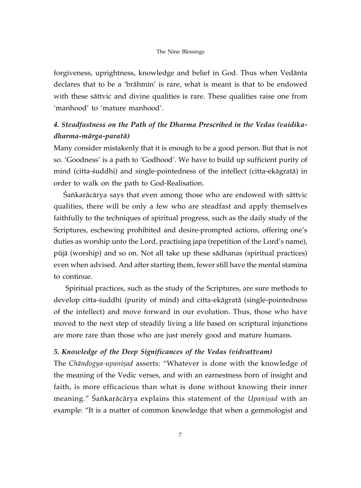#### The Nine Blessings

forgiveness, uprightness, knowledge and belief in God. Thus when Vedänta declares that to be a 'brähmin' is rare, what is meant is that to be endowed with these sättvic and divine qualities is rare. These qualities raise one from 'manhood' to 'mature manhood'.

### *4. Steadfastness on the Path of the Dharma Prescribed in the Vedas (vaidikadharma-märga-paratä)*

Many consider mistakenly that it is enough to be a good person. But that is not so. 'Goodness' is a path to 'Godhood'. We have to build up sufficient purity of mind (citta-çuddhi) and single-pointedness of the intellect (citta-ekägratä) in order to walk on the path to God-Realisation.

Sankarācārya says that even among those who are endowed with sāttvic qualities, there will be only a few who are steadfast and apply themselves faithfully to the techniques of spiritual progress, such as the daily study of the Scriptures, eschewing prohibited and desire-prompted actions, offering one's duties as worship unto the Lord, practising japa (repetition of the Lord's name), püjä (worship) and so on. Not all take up these sädhanas (spiritual practices) even when advised. And after starting them, fewer still have the mental stamina to continue.

 Spiritual practices, such as the study of the Scriptures, are sure methods to develop citta-śuddhi (purity of mind) and citta-ekāgratā (single-pointedness of the intellect) and move forward in our evolution. Thus, those who have moved to the next step of steadily living a life based on scriptural injunctions are more rare than those who are just merely good and mature humans.

### *5. Knowledge of the Deep Significances of the Vedas (vidvattvam)*

The *Chāndogya-upaniṣad* asserts: "Whatever is done with the knowledge of the meaning of the Vedic verses, and with an earnestness born of insight and faith, is more efficacious than what is done without knowing their inner meaning." Sankarācārya explains this statement of the *Upanisad* with an example: "It is a matter of common knowledge that when a gemmologist and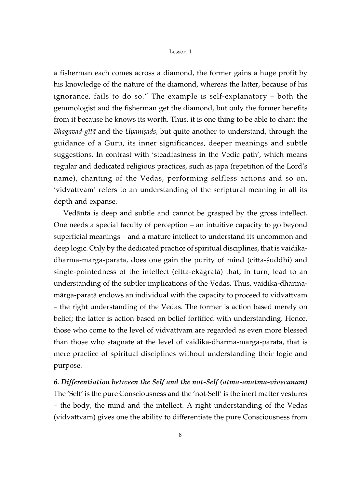#### Lesson 1

a fisherman each comes across a diamond, the former gains a huge profit by his knowledge of the nature of the diamond, whereas the latter, because of his ignorance, fails to do so." The example is self-explanatory – both the gemmologist and the fisherman get the diamond, but only the former benefits from it because he knows its worth. Thus, it is one thing to be able to chant the *Bhagavad-gītā* and the *Upaniṣads*, but quite another to understand, through the guidance of a Guru, its inner significances, deeper meanings and subtle suggestions. In contrast with 'steadfastness in the Vedic path', which means regular and dedicated religious practices, such as japa (repetition of the Lord's name), chanting of the Vedas, performing selfless actions and so on, 'vidvattvam' refers to an understanding of the scriptural meaning in all its depth and expanse.

Vedänta is deep and subtle and cannot be grasped by the gross intellect. One needs a special faculty of perception – an intuitive capacity to go beyond superficial meanings – and a mature intellect to understand its uncommon and deep logic. Only by the dedicated practice of spiritual disciplines, that is vaidikadharma-mārga-paratā, does one gain the purity of mind (citta-śuddhi) and single-pointedness of the intellect (citta-ekägratä) that, in turn, lead to an understanding of the subtler implications of the Vedas. Thus, vaidika-dharmamärga-paratä endows an individual with the capacity to proceed to vidvattvam – the right understanding of the Vedas. The former is action based merely on belief; the latter is action based on belief fortified with understanding. Hence, those who come to the level of vidvattvam are regarded as even more blessed than those who stagnate at the level of vaidika-dharma-märga-paratä, that is mere practice of spiritual disciplines without understanding their logic and purpose.

*6. Differentiation between the Self and the not-Self (ätma-anätma-vivecanam)* The 'Self' is the pure Consciousness and the 'not-Self' is the inert matter vestures – the body, the mind and the intellect. A right understanding of the Vedas (vidvattvam) gives one the ability to differentiate the pure Consciousness from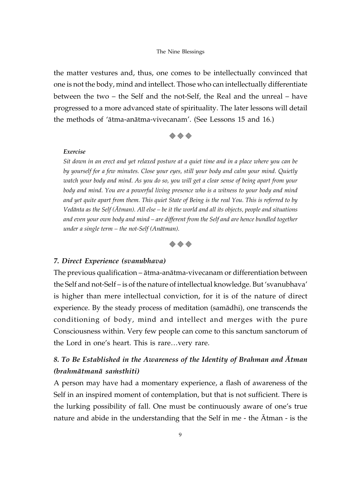the matter vestures and, thus, one comes to be intellectually convinced that one is not the body, mind and intellect. Those who can intellectually differentiate between the two – the Self and the not-Self, the Real and the unreal – have progressed to a more advanced state of spirituality. The later lessons will detail the methods of 'ätma-anätma-vivecanam'. (See Lessons 15 and 16.)



#### *Exercise*

*Sit down in an erect and yet relaxed posture at a quiet time and in a place where you can be by yourself for a few minutes. Close your eyes, still your body and calm your mind. Quietly watch your body and mind. As you do so, you will get a clear sense of being apart from your body and mind. You are a powerful living presence who is a witness to your body and mind and yet quite apart from them. This quiet State of Being is the real You. This is referred to by Vedänta as the Self (Ätman). All else – be it the world and all its objects, people and situations and even your own body and mind – are different from the Self and are hence bundled together under a single term – the not-Self (Anätman).*



### *7. Direct Experience (svanubhava)*

The previous qualification – ätma-anätma-vivecanam or differentiation between the Self and not-Self – is of the nature of intellectual knowledge. But 'svanubhava' is higher than mere intellectual conviction, for it is of the nature of direct experience. By the steady process of meditation (samädhi), one transcends the conditioning of body, mind and intellect and merges with the pure Consciousness within. Very few people can come to this sanctum sanctorum of the Lord in one's heart. This is rare…very rare.

### *8. To Be Established in the Awareness of the Identity of Brahman and Ätman (brahmätmanä saàsthiti)*

A person may have had a momentary experience, a flash of awareness of the Self in an inspired moment of contemplation, but that is not sufficient. There is the lurking possibility of fall. One must be continuously aware of one's true nature and abide in the understanding that the Self in me - the Ätman - is the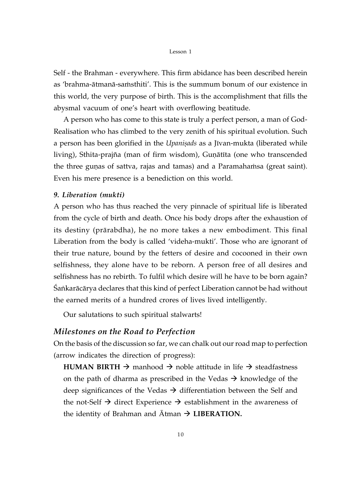#### Lesson 1

Self - the Brahman - everywhere. This firm abidance has been described herein as 'brahma-ātmanā-saṁsthiti'. This is the summum bonum of our existence in this world, the very purpose of birth. This is the accomplishment that fills the abysmal vacuum of one's heart with overflowing beatitude.

A person who has come to this state is truly a perfect person, a man of God-Realisation who has climbed to the very zenith of his spiritual evolution. Such a person has been glorified in the *Upanisads* as a Jivan-mukta (liberated while living), Sthita-prajña (man of firm wisdom), Guṇātīta (one who transcended the three gunas of sattva, rajas and tamas) and a Paramahamsa (great saint). Even his mere presence is a benediction on this world.

### *9. Liberation (mukti)*

A person who has thus reached the very pinnacle of spiritual life is liberated from the cycle of birth and death. Once his body drops after the exhaustion of its destiny (prärabdha), he no more takes a new embodiment. This final Liberation from the body is called 'videha-mukti'. Those who are ignorant of their true nature, bound by the fetters of desire and cocooned in their own selfishness, they alone have to be reborn. A person free of all desires and selfishness has no rebirth. To fulfil which desire will he have to be born again? Sankarācārya declares that this kind of perfect Liberation cannot be had without the earned merits of a hundred crores of lives lived intelligently.

Our salutations to such spiritual stalwarts!

### *Milestones on the Road to Perfection*

On the basis of the discussion so far, we can chalk out our road map to perfection (arrow indicates the direction of progress):

**HUMAN BIRTH**  $\rightarrow$  manhood  $\rightarrow$  noble attitude in life  $\rightarrow$  steadfastness on the path of dharma as prescribed in the Vedas  $\rightarrow$  knowledge of the deep significances of the Vedas  $\rightarrow$  differentiation between the Self and the not-Self  $\rightarrow$  direct Experience  $\rightarrow$  establishment in the awareness of the identity of Brahman and  $\overline{A}$ tman  $\rightarrow$  **LIBERATION.**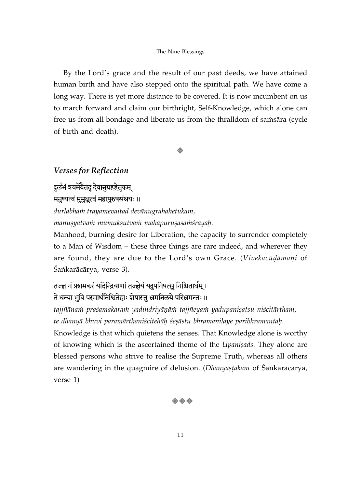By the Lord's grace and the result of our past deeds, we have attained human birth and have also stepped onto the spiritual path. We have come a long way. There is yet more distance to be covered. It is now incumbent on us to march forward and claim our birthright, Self-Knowledge, which alone can free us from all bondage and liberate us from the thralldom of sames and cycle of birth and death).

### *Verses for Reflection*

दुर्लभं त्रयमेवैतदु देवानुग्रहहेतुकम् ।

मनुष्यत्वं मुमुक्षुत्वं महापुरुषसंश्रयः ॥

*durlabhaà trayamevaitad devänugrahahetukam,*

*manuşyatvam mumukşutvam mahāpuruşasamśrayah.* 

Manhood, burning desire for Liberation, the capacity to surrender completely to a Man of Wisdom – these three things are rare indeed, and wherever they are found, they are due to the Lord's own Grace. (Vivekacūdāmani of Śaṅkarācārya, verse 3).

# तज्ज्ञानं प्रशमकरं यदिन्द्रियाणां तज्ज्ञेयं यदुपनिषत्सु निश्चितार्थम् । ते धन्या भुवि परमार्थनिश्चितेहाः शेषास्तु भ्रमनिलये परिभ्रमन्तः ॥

tajjñānam praśamakaram yadindriyānām tajjñeyam yadupanisatsu niścitārtham, *te dhanyä bhuvi paramärthaniçcitehäù çeñästu bhramanilaye paribhramantaù.*

Knowledge is that which quietens the senses. That Knowledge alone is worthy of knowing which is the ascertained theme of the *Upanisads*. They alone are blessed persons who strive to realise the Supreme Truth, whereas all others are wandering in the quagmire of delusion. (*Dhanyāṣṭakam* of Śaṅkarācārya, verse 1)